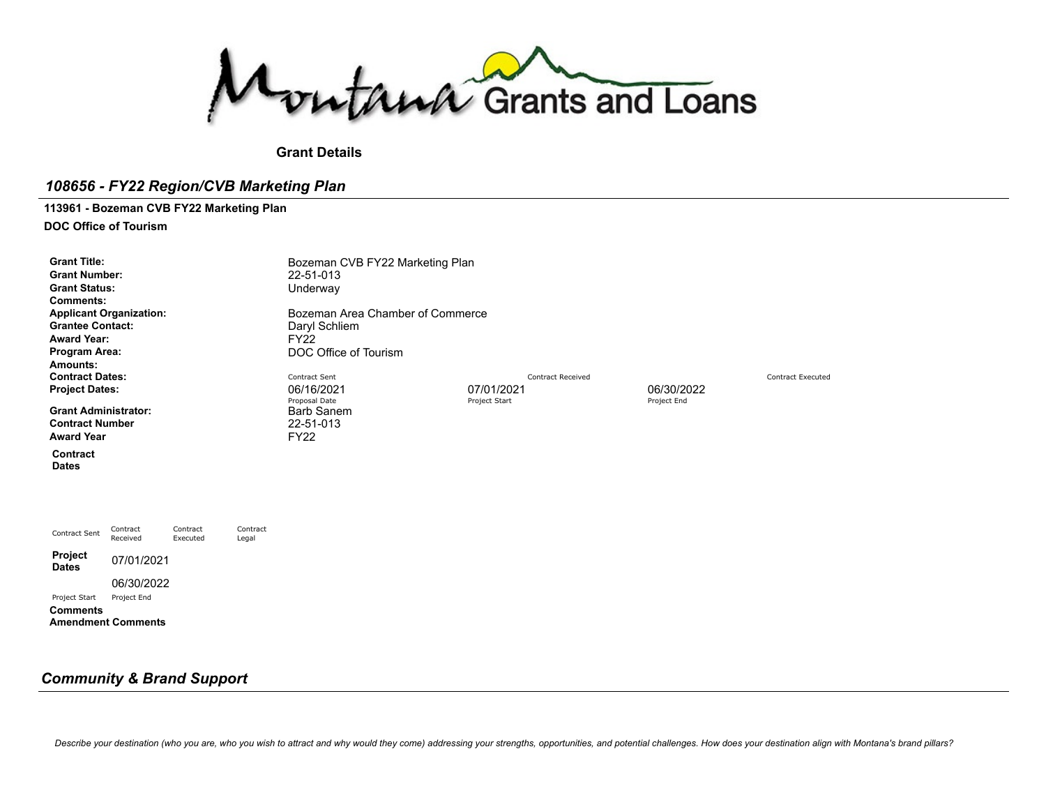Montana Grants and Loans

**Grant Details**

## *108656 - FY22 Region/CVB Marketing Plan*

## **113961 - Bozeman CVB FY22 Marketing Plan**

**DOC Office of Tourism**

| <b>Grant Title:</b><br><b>Grant Number:</b><br><b>Grant Status:</b><br><b>Comments:</b><br><b>Grantee Contact:</b><br><b>Award Year:</b><br>Program Area:<br>Amounts: | <b>Applicant Organization:</b> |                      |                   | Bozeman CVB FY22 Marketing Plan<br>22-51-013<br>Underway<br>Bozeman Area Chamber of Commerce<br>Daryl Schliem<br><b>FY22</b><br>DOC Office of Tourism |               |                          |             |                          |
|-----------------------------------------------------------------------------------------------------------------------------------------------------------------------|--------------------------------|----------------------|-------------------|-------------------------------------------------------------------------------------------------------------------------------------------------------|---------------|--------------------------|-------------|--------------------------|
| <b>Contract Dates:</b><br><b>Project Dates:</b>                                                                                                                       |                                |                      |                   | Contract Sent<br>06/16/2021                                                                                                                           | 07/01/2021    | <b>Contract Received</b> | 06/30/2022  | <b>Contract Executed</b> |
| <b>Grant Administrator:</b><br><b>Contract Number</b><br><b>Award Year</b>                                                                                            |                                |                      |                   | Proposal Date<br><b>Barb Sanem</b><br>22-51-013<br><b>FY22</b>                                                                                        | Project Start |                          | Project End |                          |
| Contract<br><b>Dates</b>                                                                                                                                              |                                |                      |                   |                                                                                                                                                       |               |                          |             |                          |
|                                                                                                                                                                       |                                |                      |                   |                                                                                                                                                       |               |                          |             |                          |
| Contract Sent                                                                                                                                                         | Contract<br>Received           | Contract<br>Executed | Contract<br>Legal |                                                                                                                                                       |               |                          |             |                          |
| Project<br><b>Dates</b>                                                                                                                                               | 07/01/2021                     |                      |                   |                                                                                                                                                       |               |                          |             |                          |
| Project Start                                                                                                                                                         | 06/30/2022<br>Project End      |                      |                   |                                                                                                                                                       |               |                          |             |                          |
| <b>Comments</b>                                                                                                                                                       | <b>Amendment Comments</b>      |                      |                   |                                                                                                                                                       |               |                          |             |                          |

## *Community & Brand Support*

Describe your destination (who you are, who you wish to attract and why would they come) addressing your strengths, opportunities, and potential challenges. How does your destination align with Montana's brand pillars?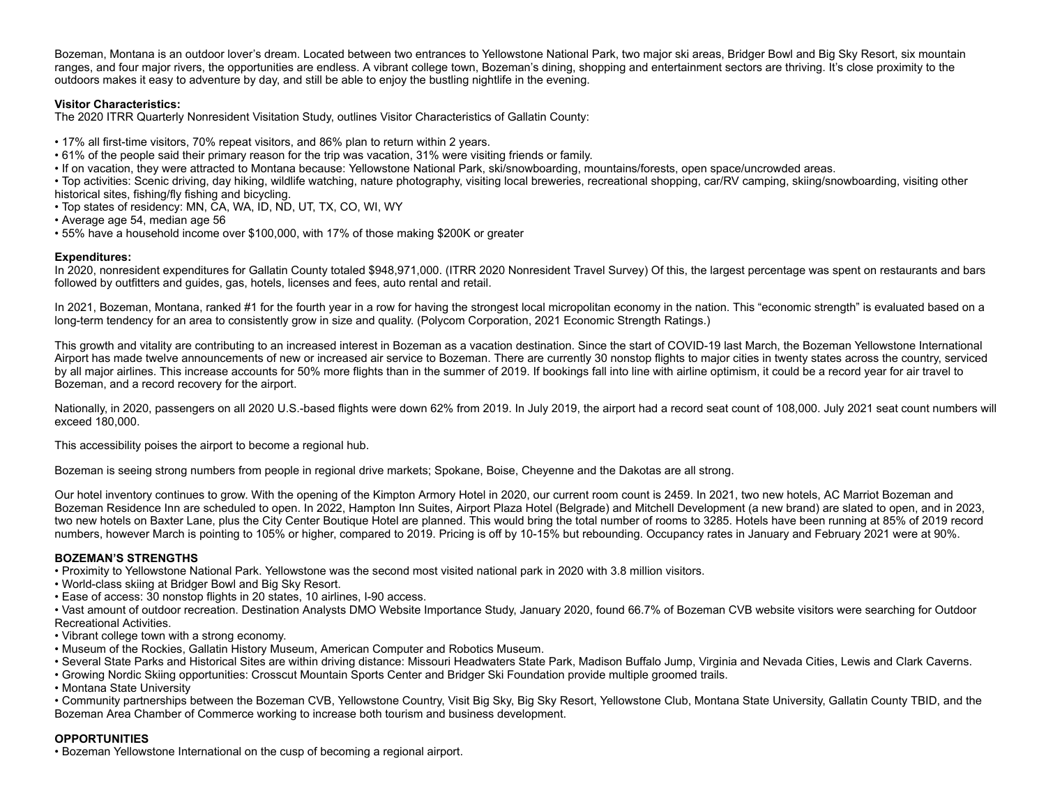Bozeman, Montana is an outdoor lover's dream. Located between two entrances to Yellowstone National Park, two major ski areas, Bridger Bowl and Big Sky Resort, six mountain ranges, and four major rivers, the opportunities are endless. A vibrant college town, Bozeman's dining, shopping and entertainment sectors are thriving. It's close proximity to the outdoors makes it easy to adventure by day, and still be able to enjoy the bustling nightlife in the evening.

## **Visitor Characteristics:**

The 2020 ITRR Quarterly Nonresident Visitation Study, outlines Visitor Characteristics of Gallatin County:

- 17% all first-time visitors, 70% repeat visitors, and 86% plan to return within 2 years.
- 61% of the people said their primary reason for the trip was vacation, 31% were visiting friends or family.
- If on vacation, they were attracted to Montana because: Yellowstone National Park, ski/snowboarding, mountains/forests, open space/uncrowded areas.

• Top activities: Scenic driving, day hiking, wildlife watching, nature photography, visiting local breweries, recreational shopping, car/RV camping, skiing/snowboarding, visiting other historical sites, fishing/fly fishing and bicycling.

- Top states of residency: MN, CA, WA, ID, ND, UT, TX, CO, WI, WY
- Average age 54, median age 56
- 55% have a household income over \$100,000, with 17% of those making \$200K or greater

### **Expenditures:**

In 2020, nonresident expenditures for Gallatin County totaled \$948,971,000. (ITRR 2020 Nonresident Travel Survey) Of this, the largest percentage was spent on restaurants and bars followed by outfitters and guides, gas, hotels, licenses and fees, auto rental and retail.

In 2021, Bozeman, Montana, ranked #1 for the fourth year in a row for having the strongest local micropolitan economy in the nation. This "economic strength" is evaluated based on a long-term tendency for an area to consistently grow in size and quality. (Polycom Corporation, 2021 Economic Strength Ratings.)

This growth and vitality are contributing to an increased interest in Bozeman as a vacation destination. Since the start of COVID-19 last March, the Bozeman Yellowstone International Airport has made twelve announcements of new or increased air service to Bozeman. There are currently 30 nonstop flights to major cities in twenty states across the country, serviced by all major airlines. This increase accounts for 50% more flights than in the summer of 2019. If bookings fall into line with airline optimism, it could be a record year for air travel to Bozeman, and a record recovery for the airport.

Nationally, in 2020, passengers on all 2020 U.S.-based flights were down 62% from 2019. In July 2019, the airport had a record seat count of 108,000. July 2021 seat count numbers will exceed 180,000.

This accessibility poises the airport to become a regional hub.

Bozeman is seeing strong numbers from people in regional drive markets; Spokane, Boise, Cheyenne and the Dakotas are all strong.

Our hotel inventory continues to grow. With the opening of the Kimpton Armory Hotel in 2020, our current room count is 2459. In 2021, two new hotels, AC Marriot Bozeman and Bozeman Residence Inn are scheduled to open. In 2022, Hampton Inn Suites, Airport Plaza Hotel (Belgrade) and Mitchell Development (a new brand) are slated to open, and in 2023, two new hotels on Baxter Lane, plus the City Center Boutique Hotel are planned. This would bring the total number of rooms to 3285. Hotels have been running at 85% of 2019 record numbers, however March is pointing to 105% or higher, compared to 2019. Pricing is off by 10-15% but rebounding. Occupancy rates in January and February 2021 were at 90%.

### **BOZEMAN'S STRENGTHS**

• Proximity to Yellowstone National Park. Yellowstone was the second most visited national park in 2020 with 3.8 million visitors.

- World-class skiing at Bridger Bowl and Big Sky Resort.
- Ease of access: 30 nonstop flights in 20 states, 10 airlines, I-90 access.

• Vast amount of outdoor recreation. Destination Analysts DMO Website Importance Study, January 2020, found 66.7% of Bozeman CVB website visitors were searching for Outdoor Recreational Activities.

- Vibrant college town with a strong economy.
- Museum of the Rockies, Gallatin History Museum, American Computer and Robotics Museum.
- Several State Parks and Historical Sites are within driving distance: Missouri Headwaters State Park, Madison Buffalo Jump, Virginia and Nevada Cities, Lewis and Clark Caverns.
- Growing Nordic Skiing opportunities: Crosscut Mountain Sports Center and Bridger Ski Foundation provide multiple groomed trails.
- Montana State University

• Community partnerships between the Bozeman CVB, Yellowstone Country, Visit Big Sky, Big Sky Resort, Yellowstone Club, Montana State University, Gallatin County TBID, and the Bozeman Area Chamber of Commerce working to increase both tourism and business development.

## **OPPORTUNITIES**

• Bozeman Yellowstone International on the cusp of becoming a regional airport.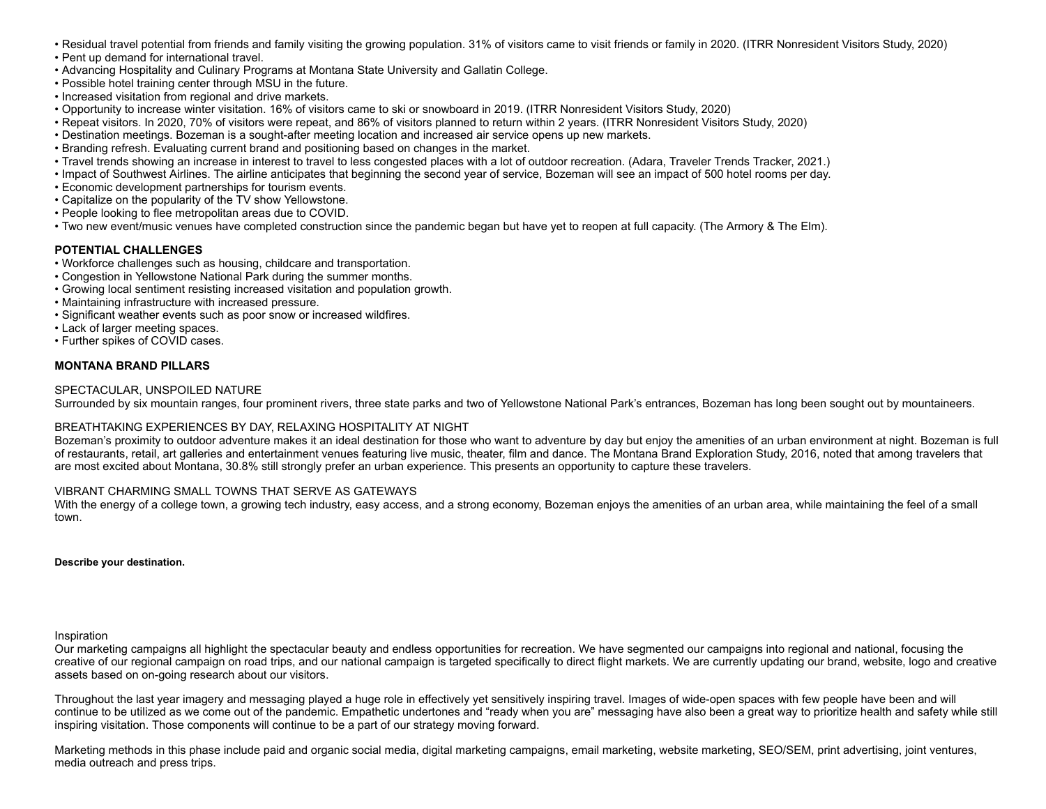- Residual travel potential from friends and family visiting the growing population. 31% of visitors came to visit friends or family in 2020. (ITRR Nonresident Visitors Study, 2020)
- Pent up demand for international travel.
- Advancing Hospitality and Culinary Programs at Montana State University and Gallatin College.
- Possible hotel training center through MSU in the future.
- Increased visitation from regional and drive markets.
- Opportunity to increase winter visitation. 16% of visitors came to ski or snowboard in 2019. (ITRR Nonresident Visitors Study, 2020)
- Repeat visitors. In 2020, 70% of visitors were repeat, and 86% of visitors planned to return within 2 years. (ITRR Nonresident Visitors Study, 2020)
- Destination meetings. Bozeman is a sought-after meeting location and increased air service opens up new markets.
- Branding refresh. Evaluating current brand and positioning based on changes in the market.
- Travel trends showing an increase in interest to travel to less congested places with a lot of outdoor recreation. (Adara, Traveler Trends Tracker, 2021.)
- Impact of Southwest Airlines. The airline anticipates that beginning the second year of service, Bozeman will see an impact of 500 hotel rooms per day.
- Economic development partnerships for tourism events.
- Capitalize on the popularity of the TV show Yellowstone.
- People looking to flee metropolitan areas due to COVID.
- Two new event/music venues have completed construction since the pandemic began but have yet to reopen at full capacity. (The Armory & The Elm).

#### **POTENTIAL CHALLENGES**

- Workforce challenges such as housing, childcare and transportation.
- Congestion in Yellowstone National Park during the summer months.
- Growing local sentiment resisting increased visitation and population growth.
- Maintaining infrastructure with increased pressure.
- Significant weather events such as poor snow or increased wildfires.
- Lack of larger meeting spaces.
- Further spikes of COVID cases.

### **MONTANA BRAND PILLARS**

#### SPECTACULAR, UNSPOILED NATURE

Surrounded by six mountain ranges, four prominent rivers, three state parks and two of Yellowstone National Park's entrances, Bozeman has long been sought out by mountaineers.

#### BREATHTAKING EXPERIENCES BY DAY, RELAXING HOSPITALITY AT NIGHT

Bozeman's proximity to outdoor adventure makes it an ideal destination for those who want to adventure by day but enjoy the amenities of an urban environment at night. Bozeman is full of restaurants, retail, art galleries and entertainment venues featuring live music, theater, film and dance. The Montana Brand Exploration Study, 2016, noted that among travelers that are most excited about Montana, 30.8% still strongly prefer an urban experience. This presents an opportunity to capture these travelers.

### VIBRANT CHARMING SMALL TOWNS THAT SERVE AS GATEWAYS

With the energy of a college town, a growing tech industry, easy access, and a strong economy, Bozeman enjoys the amenities of an urban area, while maintaining the feel of a small town.

**Describe your destination.**

#### Inspiration

Our marketing campaigns all highlight the spectacular beauty and endless opportunities for recreation. We have segmented our campaigns into regional and national, focusing the creative of our regional campaign on road trips, and our national campaign is targeted specifically to direct flight markets. We are currently updating our brand, website, logo and creative assets based on on-going research about our visitors.

Throughout the last year imagery and messaging played a huge role in effectively yet sensitively inspiring travel. Images of wide-open spaces with few people have been and will continue to be utilized as we come out of the pandemic. Empathetic undertones and "ready when you are" messaging have also been a great way to prioritize health and safety while still inspiring visitation. Those components will continue to be a part of our strategy moving forward.

Marketing methods in this phase include paid and organic social media, digital marketing campaigns, email marketing, website marketing, SEO/SEM, print advertising, joint ventures, media outreach and press trips.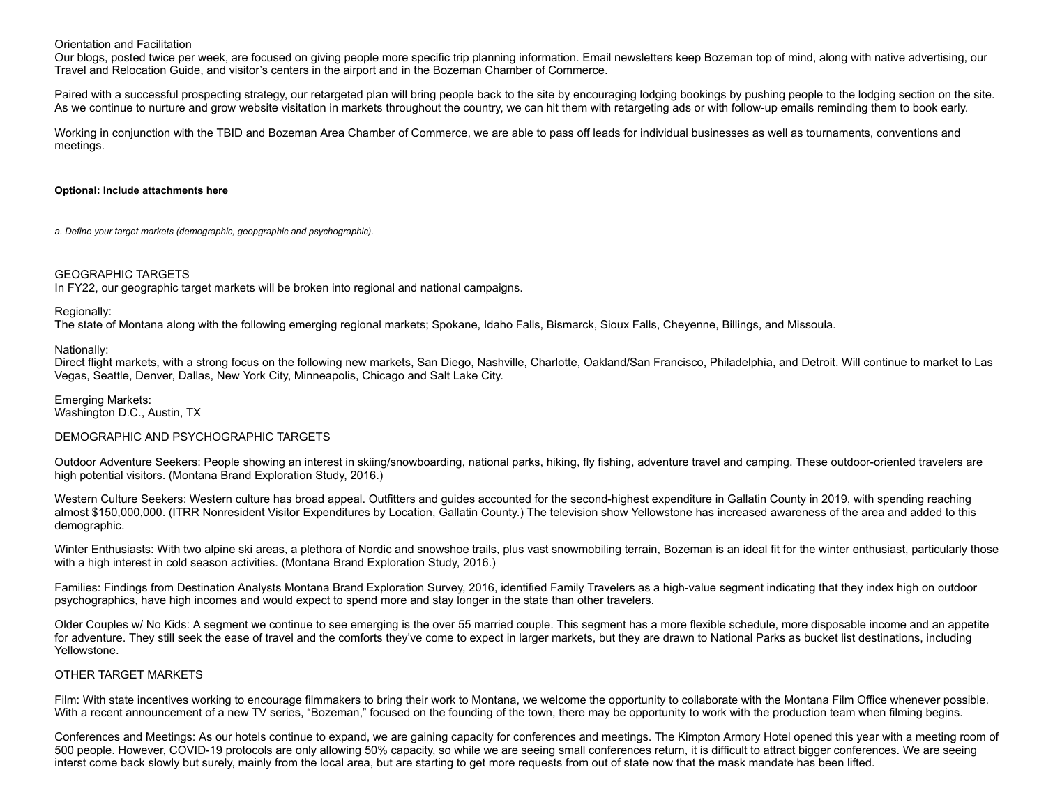#### Orientation and Facilitation

Our blogs, posted twice per week, are focused on giving people more specific trip planning information. Email newsletters keep Bozeman top of mind, along with native advertising, our Travel and Relocation Guide, and visitor's centers in the airport and in the Bozeman Chamber of Commerce.

Paired with a successful prospecting strategy, our retargeted plan will bring people back to the site by encouraging lodging bookings by pushing people to the lodging section on the site. As we continue to nurture and grow website visitation in markets throughout the country, we can hit them with retargeting ads or with follow-up emails reminding them to book early.

Working in conjunction with the TBID and Bozeman Area Chamber of Commerce, we are able to pass off leads for individual businesses as well as tournaments, conventions and meetings.

#### **Optional: Include attachments here**

*a. Define your target markets (demographic, geopgraphic and psychographic).*

#### GEOGRAPHIC TARGETS

In FY22, our geographic target markets will be broken into regional and national campaigns.

#### Regionally:

The state of Montana along with the following emerging regional markets; Spokane, Idaho Falls, Bismarck, Sioux Falls, Cheyenne, Billings, and Missoula.

#### Nationally:

Direct flight markets, with a strong focus on the following new markets, San Diego, Nashville, Charlotte, Oakland/San Francisco, Philadelphia, and Detroit. Will continue to market to Las Vegas, Seattle, Denver, Dallas, New York City, Minneapolis, Chicago and Salt Lake City.

Emerging Markets: Washington D.C., Austin, TX

#### DEMOGRAPHIC AND PSYCHOGRAPHIC TARGETS

Outdoor Adventure Seekers: People showing an interest in skiing/snowboarding, national parks, hiking, fly fishing, adventure travel and camping. These outdoor-oriented travelers are high potential visitors. (Montana Brand Exploration Study, 2016.)

Western Culture Seekers: Western culture has broad appeal. Outfitters and guides accounted for the second-highest expenditure in Gallatin County in 2019, with spending reaching almost \$150,000,000. (ITRR Nonresident Visitor Expenditures by Location, Gallatin County.) The television show Yellowstone has increased awareness of the area and added to this demographic.

Winter Enthusiasts: With two alpine ski areas, a plethora of Nordic and snowshoe trails, plus vast snowmobiling terrain, Bozeman is an ideal fit for the winter enthusiast, particularly those with a high interest in cold season activities. (Montana Brand Exploration Study, 2016.)

Families: Findings from Destination Analysts Montana Brand Exploration Survey, 2016, identified Family Travelers as a high-value segment indicating that they index high on outdoor psychographics, have high incomes and would expect to spend more and stay longer in the state than other travelers.

Older Couples w/ No Kids: A segment we continue to see emerging is the over 55 married couple. This segment has a more flexible schedule, more disposable income and an appetite for adventure. They still seek the ease of travel and the comforts they've come to expect in larger markets, but they are drawn to National Parks as bucket list destinations, including Yellowstone.

#### OTHER TARGET MARKETS

Film: With state incentives working to encourage filmmakers to bring their work to Montana, we welcome the opportunity to collaborate with the Montana Film Office whenever possible. With a recent announcement of a new TV series, "Bozeman," focused on the founding of the town, there may be opportunity to work with the production team when filming begins.

Conferences and Meetings: As our hotels continue to expand, we are gaining capacity for conferences and meetings. The Kimpton Armory Hotel opened this year with a meeting room of 500 people. However, COVID-19 protocols are only allowing 50% capacity, so while we are seeing small conferences return, it is difficult to attract bigger conferences. We are seeing interst come back slowly but surely, mainly from the local area, but are starting to get more requests from out of state now that the mask mandate has been lifted.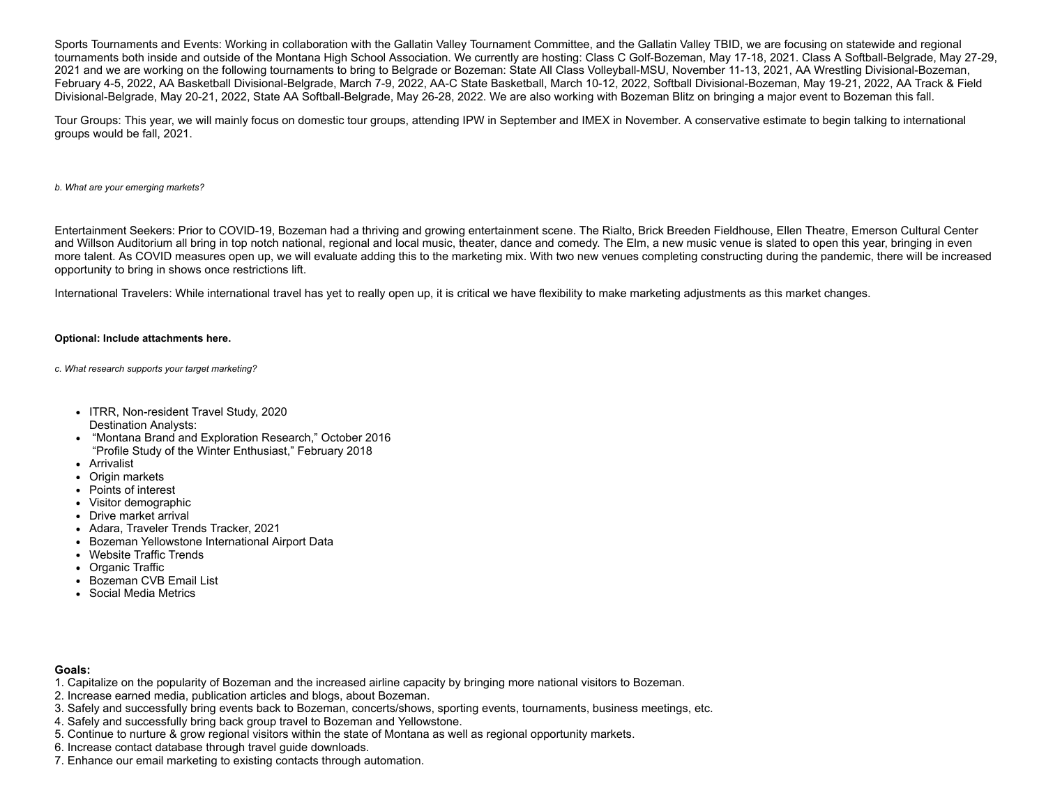Sports Tournaments and Events: Working in collaboration with the Gallatin Valley Tournament Committee, and the Gallatin Valley TBID, we are focusing on statewide and regional tournaments both inside and outside of the Montana High School Association. We currently are hosting: Class C Golf-Bozeman, May 17-18, 2021. Class A Softball-Belgrade, May 27-29, 2021 and we are working on the following tournaments to bring to Belgrade or Bozeman: State All Class Volleyball-MSU, November 11-13, 2021, AA Wrestling Divisional-Bozeman, February 4-5, 2022, AA Basketball Divisional-Belgrade, March 7-9, 2022, AA-C State Basketball, March 10-12, 2022, Softball Divisional-Bozeman, May 19-21, 2022, AA Track & Field Divisional-Belgrade, May 20-21, 2022, State AA Softball-Belgrade, May 26-28, 2022. We are also working with Bozeman Blitz on bringing a major event to Bozeman this fall.

Tour Groups: This year, we will mainly focus on domestic tour groups, attending IPW in September and IMEX in November. A conservative estimate to begin talking to international groups would be fall, 2021.

*b. What are your emerging markets?*

Entertainment Seekers: Prior to COVID-19, Bozeman had a thriving and growing entertainment scene. The Rialto, Brick Breeden Fieldhouse, Ellen Theatre, Emerson Cultural Center and Willson Auditorium all bring in top notch national, regional and local music, theater, dance and comedy. The Elm, a new music venue is slated to open this year, bringing in even more talent. As COVID measures open up, we will evaluate adding this to the marketing mix. With two new venues completing constructing during the pandemic, there will be increased opportunity to bring in shows once restrictions lift.

International Travelers: While international travel has yet to really open up, it is critical we have flexibility to make marketing adjustments as this market changes.

#### **Optional: Include attachments here.**

*c. What research supports your target marketing?*

- ITRR, Non-resident Travel Study, 2020 Destination Analysts:
- "Montana Brand and Exploration Research," October 2016 "Profile Study of the Winter Enthusiast," February 2018
- Arrivalist
- Origin markets
- Points of interest
- Visitor demographic
- Drive market arrival
- Adara, Traveler Trends Tracker, 2021
- Bozeman Yellowstone International Airport Data
- Website Traffic Trends
- Organic Traffic
- Bozeman CVB Email List
- Social Media Metrics

#### **Goals:**

- 1. Capitalize on the popularity of Bozeman and the increased airline capacity by bringing more national visitors to Bozeman.
- 2. Increase earned media, publication articles and blogs, about Bozeman.
- 3. Safely and successfully bring events back to Bozeman, concerts/shows, sporting events, tournaments, business meetings, etc.
- 4. Safely and successfully bring back group travel to Bozeman and Yellowstone.
- 5. Continue to nurture & grow regional visitors within the state of Montana as well as regional opportunity markets.
- 6. Increase contact database through travel guide downloads.
- 7. Enhance our email marketing to existing contacts through automation.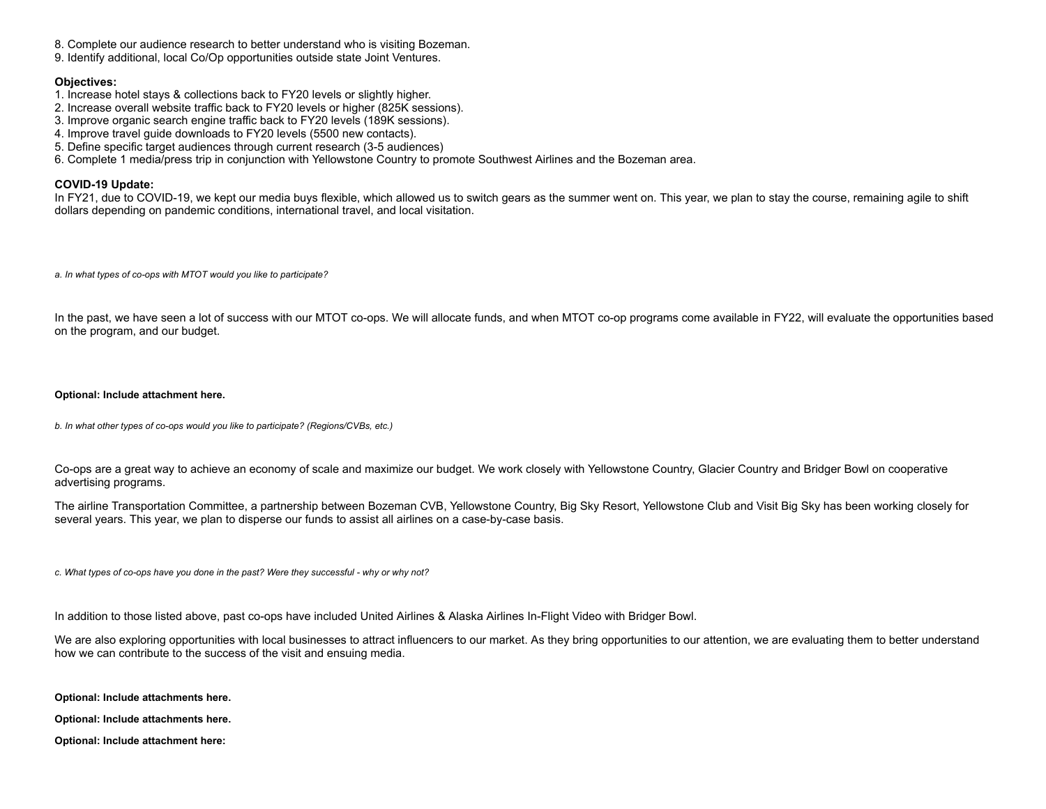- 8. Complete our audience research to better understand who is visiting Bozeman.
- 9. Identify additional, local Co/Op opportunities outside state Joint Ventures.

## **Objectives:**

- 1. Increase hotel stays & collections back to FY20 levels or slightly higher.
- 2. Increase overall website traffic back to FY20 levels or higher (825K sessions).
- 3. Improve organic search engine traffic back to FY20 levels (189K sessions).
- 4. Improve travel guide downloads to FY20 levels (5500 new contacts).
- 5. Define specific target audiences through current research (3-5 audiences)
- 6. Complete 1 media/press trip in conjunction with Yellowstone Country to promote Southwest Airlines and the Bozeman area.

## **COVID-19 Update:**

In FY21, due to COVID-19, we kept our media buys flexible, which allowed us to switch gears as the summer went on. This year, we plan to stay the course, remaining agile to shift dollars depending on pandemic conditions, international travel, and local visitation.

*a. In what types of co-ops with MTOT would you like to participate?*

In the past, we have seen a lot of success with our MTOT co-ops. We will allocate funds, and when MTOT co-op programs come available in FY22, will evaluate the opportunities based on the program, and our budget.

#### **Optional: Include attachment here.**

*b. In what other types of co-ops would you like to participate? (Regions/CVBs, etc.)*

Co-ops are a great way to achieve an economy of scale and maximize our budget. We work closely with Yellowstone Country, Glacier Country and Bridger Bowl on cooperative advertising programs.

The airline Transportation Committee, a partnership between Bozeman CVB, Yellowstone Country, Big Sky Resort, Yellowstone Club and Visit Big Sky has been working closely for several years. This year, we plan to disperse our funds to assist all airlines on a case-by-case basis.

*c. What types of co-ops have you done in the past? Were they successful - why or why not?*

In addition to those listed above, past co-ops have included United Airlines & Alaska Airlines In-Flight Video with Bridger Bowl.

We are also exploring opportunities with local businesses to attract influencers to our market. As they bring opportunities to our attention, we are evaluating them to better understand how we can contribute to the success of the visit and ensuing media.

**Optional: Include attachments here.**

**Optional: Include attachments here.**

**Optional: Include attachment here:**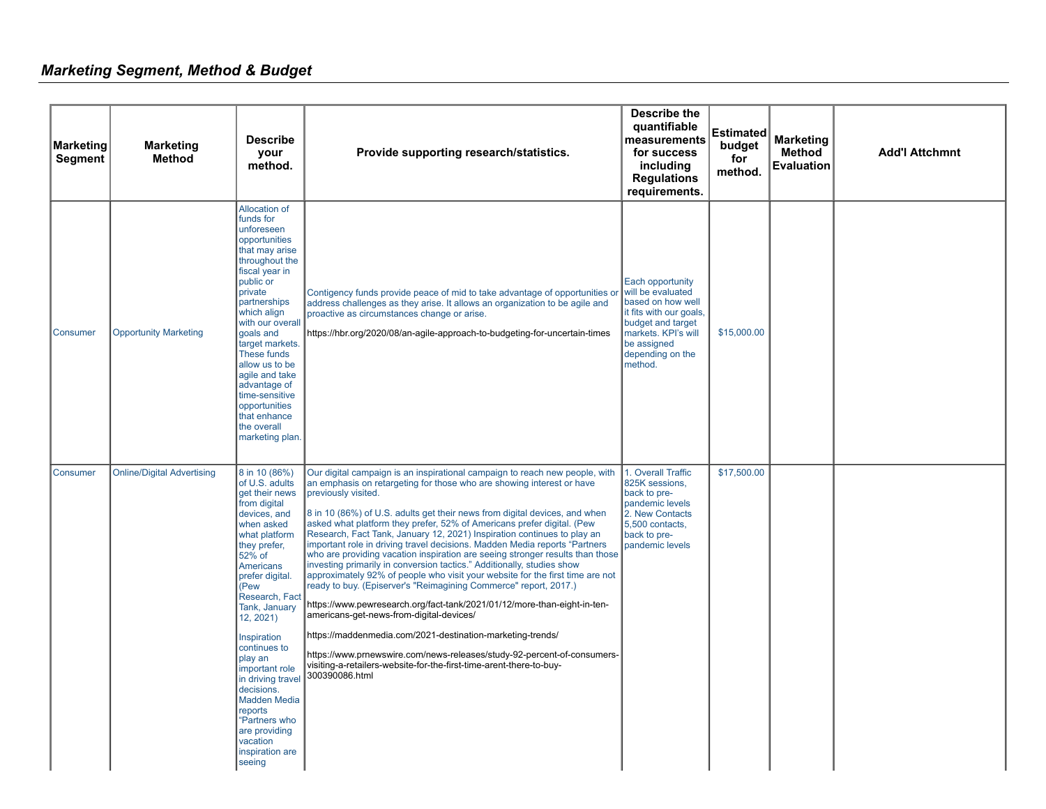# *Marketing Segment, Method & Budget*

| <b>Marketing</b><br><b>Segment</b> | <b>Marketing</b><br><b>Method</b> | <b>Describe</b><br>your<br>method.                                                                                                                                                                                                                                                                                                                                                                                                             | Provide supporting research/statistics.                                                                                                                                                                                                                                                                                                                                                                                                                                                                                                                                                                                                                                                                                                                                                                                                                                                                                                                                                                                                                                                                                                                                | <b>Describe the</b><br>quantifiable<br>measurements<br>for success<br>including<br><b>Regulations</b><br>requirements.                                                          | <b>Estimated</b><br>budget<br>for<br>method. | <b>Marketing</b><br><b>Method</b><br><b>Evaluation</b> | <b>Add'l Attchmnt</b> |
|------------------------------------|-----------------------------------|------------------------------------------------------------------------------------------------------------------------------------------------------------------------------------------------------------------------------------------------------------------------------------------------------------------------------------------------------------------------------------------------------------------------------------------------|------------------------------------------------------------------------------------------------------------------------------------------------------------------------------------------------------------------------------------------------------------------------------------------------------------------------------------------------------------------------------------------------------------------------------------------------------------------------------------------------------------------------------------------------------------------------------------------------------------------------------------------------------------------------------------------------------------------------------------------------------------------------------------------------------------------------------------------------------------------------------------------------------------------------------------------------------------------------------------------------------------------------------------------------------------------------------------------------------------------------------------------------------------------------|---------------------------------------------------------------------------------------------------------------------------------------------------------------------------------|----------------------------------------------|--------------------------------------------------------|-----------------------|
| Consumer                           | <b>Opportunity Marketing</b>      | <b>Allocation of</b><br>funds for<br>unforeseen<br>opportunities<br>that may arise<br>throughout the<br>fiscal year in<br>public or<br>private<br>partnerships<br>which align<br>with our overall<br>goals and<br>target markets.<br>These funds<br>allow us to be<br>agile and take<br>advantage of<br>time-sensitive<br>opportunities<br>that enhance<br>the overall<br>marketing plan.                                                      | Contigency funds provide peace of mid to take advantage of opportunities or<br>address challenges as they arise. It allows an organization to be agile and<br>proactive as circumstances change or arise.<br>https://hbr.org/2020/08/an-agile-approach-to-budgeting-for-uncertain-times                                                                                                                                                                                                                                                                                                                                                                                                                                                                                                                                                                                                                                                                                                                                                                                                                                                                                | Each opportunity<br>will be evaluated<br>based on how well<br>it fits with our goals,<br>budget and target<br>markets. KPI's will<br>be assigned<br>depending on the<br>method. | \$15,000.00                                  |                                                        |                       |
| Consumer                           | <b>Online/Digital Advertising</b> | 8 in 10 (86%)<br>of U.S. adults<br>get their news<br>from digital<br>devices, and<br>when asked<br>what platform<br>they prefer,<br>52% of<br>Americans<br>prefer digital.<br>(Pew<br>Research, Fact<br>Tank, January<br>12, 2021)<br>Inspiration<br>continues to<br>play an<br>important role<br>in driving travel<br>decisions.<br><b>Madden Media</b><br>reports<br>"Partners who<br>are providing<br>vacation<br>inspiration are<br>seeing | Our digital campaign is an inspirational campaign to reach new people, with<br>an emphasis on retargeting for those who are showing interest or have<br>previously visited.<br>8 in 10 (86%) of U.S. adults get their news from digital devices, and when<br>asked what platform they prefer, 52% of Americans prefer digital. (Pew<br>Research, Fact Tank, January 12, 2021) Inspiration continues to play an<br>important role in driving travel decisions. Madden Media reports "Partners<br>who are providing vacation inspiration are seeing stronger results than those<br>investing primarily in conversion tactics." Additionally, studies show<br>approximately 92% of people who visit your website for the first time are not<br>ready to buy. (Episerver's "Reimagining Commerce" report, 2017.)<br>https://www.pewresearch.org/fact-tank/2021/01/12/more-than-eight-in-ten-<br>americans-get-news-from-digital-devices/<br>https://maddenmedia.com/2021-destination-marketing-trends/<br>https://www.prnewswire.com/news-releases/study-92-percent-of-consumers-<br>visiting-a-retailers-website-for-the-first-time-arent-there-to-buy-<br>300390086.html | 1. Overall Traffic<br>825K sessions,<br>back to pre-<br>pandemic levels<br>2. New Contacts<br>5,500 contacts,<br>back to pre-<br>pandemic levels                                | \$17,500.00                                  |                                                        |                       |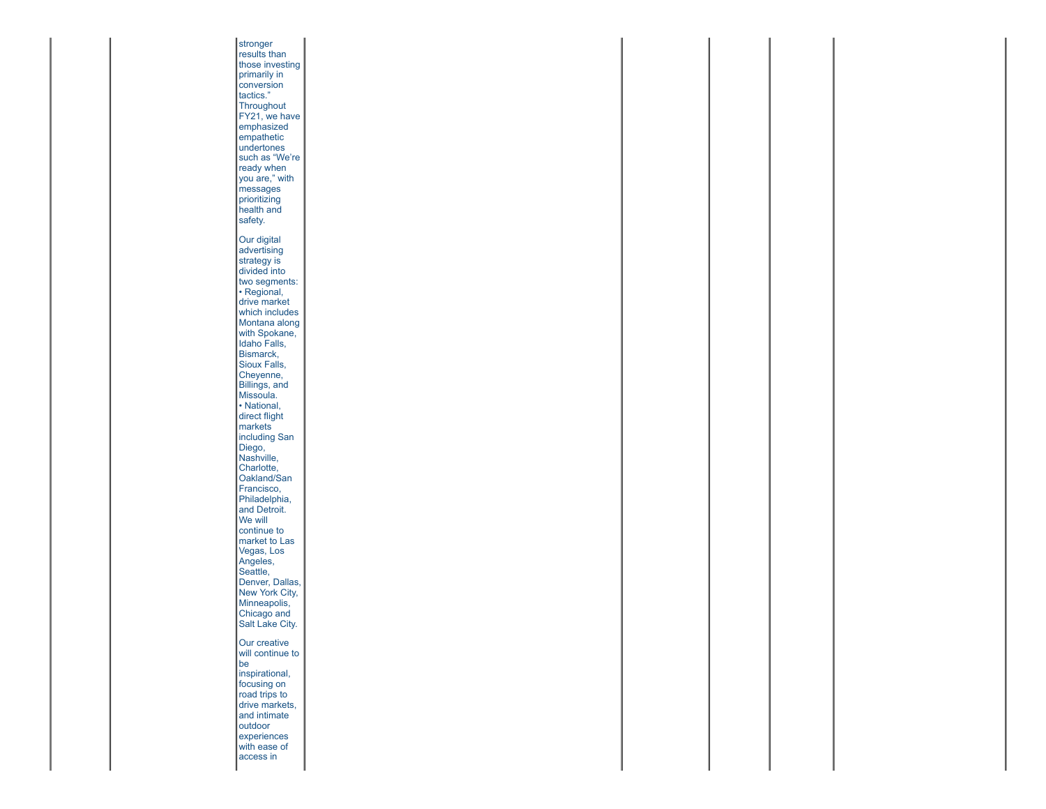**stronger** results than those investing primarily in conversion tactics." **Throughout** FY21, we have emphasized empathetic undertones such as "We're ready when you are," with messages prioritizing health and safety. Our digital advertising strategy is divided into two segments: • Regional, drive market which includes Montana along with Spokane, Idaho Falls, Bismarck, Sioux Falls, Cheyenne, Billings, and Missoula. • National, direct flight markets including San Diego, Nashville, Charlotte, Oakland/San Francisco, Philadelphia, **and Detroit.** We will continue to market to Las Vegas, Los Angeles, Seattle, Denver, Dallas, New York City, Minneapolis, Chicago and Salt Lake City. Our creative will continue to be inspirational, focusing on road trips to drive markets, and intimate outdoor **experiences** with ease of access in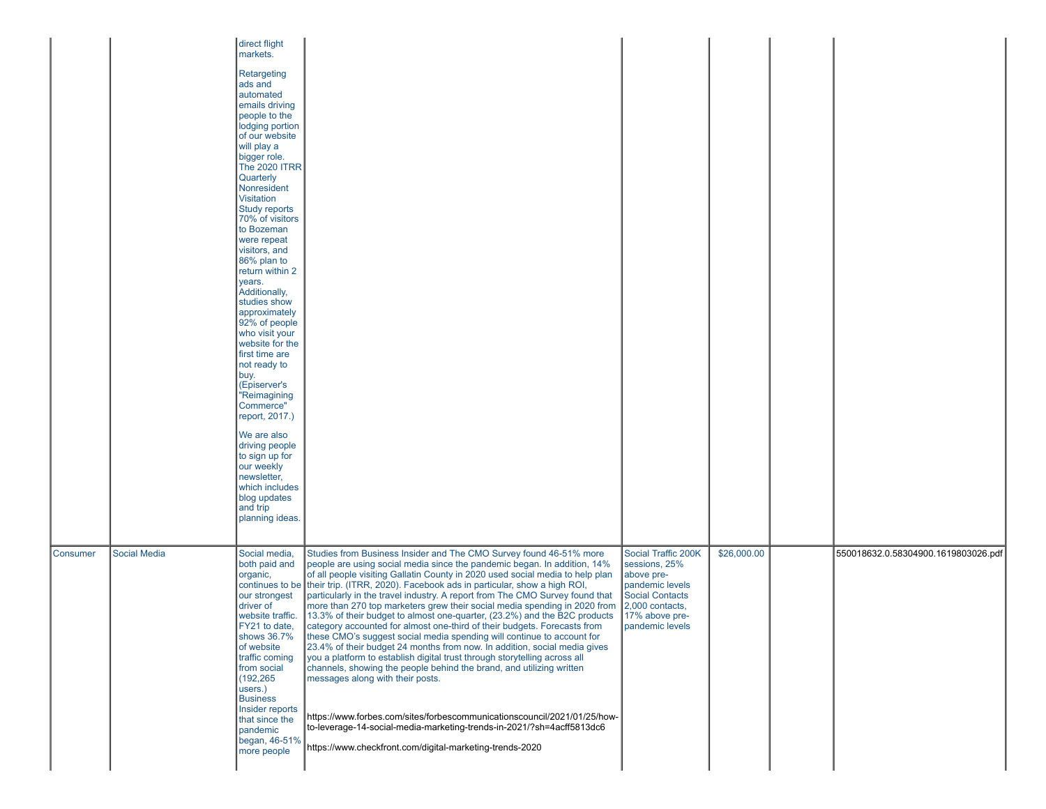|                 |                     | direct flight<br>markets.<br>Retargeting<br>ads and<br>automated<br>emails driving<br>people to the<br>lodging portion<br>of our website<br>will play a<br>bigger role.<br><b>The 2020 ITRR</b><br>Quarterly<br>Nonresident<br>Visitation<br>Study reports<br>70% of visitors<br>to Bozeman<br>were repeat<br>visitors, and<br>86% plan to<br>return within 2<br>years.<br>Additionally,<br>studies show<br>approximately<br>92% of people<br>who visit your<br>website for the<br>first time are<br>not ready to<br>buy.<br>(Episerver's<br>"Reimagining<br>Commerce"<br>report, 2017.)<br>We are also<br>driving people<br>to sign up for<br>our weekly<br>newsletter,<br>which includes<br>blog updates<br>and trip<br>planning ideas. |                                                                                                                                                                                                                                                                                                                                                                                                                                                                                                                                                                                                                                                                                                                                                                                                                                                                                                                                                                                                                                                                                                                                                                                                  |                                                                                                                                                  |             |                                     |
|-----------------|---------------------|-------------------------------------------------------------------------------------------------------------------------------------------------------------------------------------------------------------------------------------------------------------------------------------------------------------------------------------------------------------------------------------------------------------------------------------------------------------------------------------------------------------------------------------------------------------------------------------------------------------------------------------------------------------------------------------------------------------------------------------------|--------------------------------------------------------------------------------------------------------------------------------------------------------------------------------------------------------------------------------------------------------------------------------------------------------------------------------------------------------------------------------------------------------------------------------------------------------------------------------------------------------------------------------------------------------------------------------------------------------------------------------------------------------------------------------------------------------------------------------------------------------------------------------------------------------------------------------------------------------------------------------------------------------------------------------------------------------------------------------------------------------------------------------------------------------------------------------------------------------------------------------------------------------------------------------------------------|--------------------------------------------------------------------------------------------------------------------------------------------------|-------------|-------------------------------------|
| <b>Consumer</b> | <b>Social Media</b> | Social media,<br>both paid and<br>organic,<br>continues to be<br>our strongest<br>driver of<br>website traffic.<br>FY21 to date,<br>shows 36.7%<br>of website<br>traffic coming<br>from social<br>(192, 265)<br>users.)<br><b>Business</b><br>Insider reports<br>that since the<br>pandemic<br>began, 46-51%<br>more people                                                                                                                                                                                                                                                                                                                                                                                                               | Studies from Business Insider and The CMO Survey found 46-51% more<br>people are using social media since the pandemic began. In addition, 14%<br>of all people visiting Gallatin County in 2020 used social media to help plan<br>their trip. (ITRR, 2020). Facebook ads in particular, show a high ROI,<br>particularly in the travel industry. A report from The CMO Survey found that<br>more than 270 top marketers grew their social media spending in 2020 from<br>13.3% of their budget to almost one-quarter, (23.2%) and the B2C products<br>category accounted for almost one-third of their budgets. Forecasts from<br>these CMO's suggest social media spending will continue to account for<br>23.4% of their budget 24 months from now. In addition, social media gives<br>you a platform to establish digital trust through storytelling across all<br>channels, showing the people behind the brand, and utilizing written<br>messages along with their posts.<br>https://www.forbes.com/sites/forbescommunicationscouncil/2021/01/25/how-<br>to-leverage-14-social-media-marketing-trends-in-2021/?sh=4acff5813dc6<br>https://www.checkfront.com/digital-marketing-trends-2020 | Social Traffic 200K<br>sessions, 25%<br>above pre-<br>pandemic levels<br>Social Contacts<br>2,000 contacts,<br>17% above pre-<br>pandemic levels | \$26,000.00 | 550018632.0.58304900.1619803026.pdf |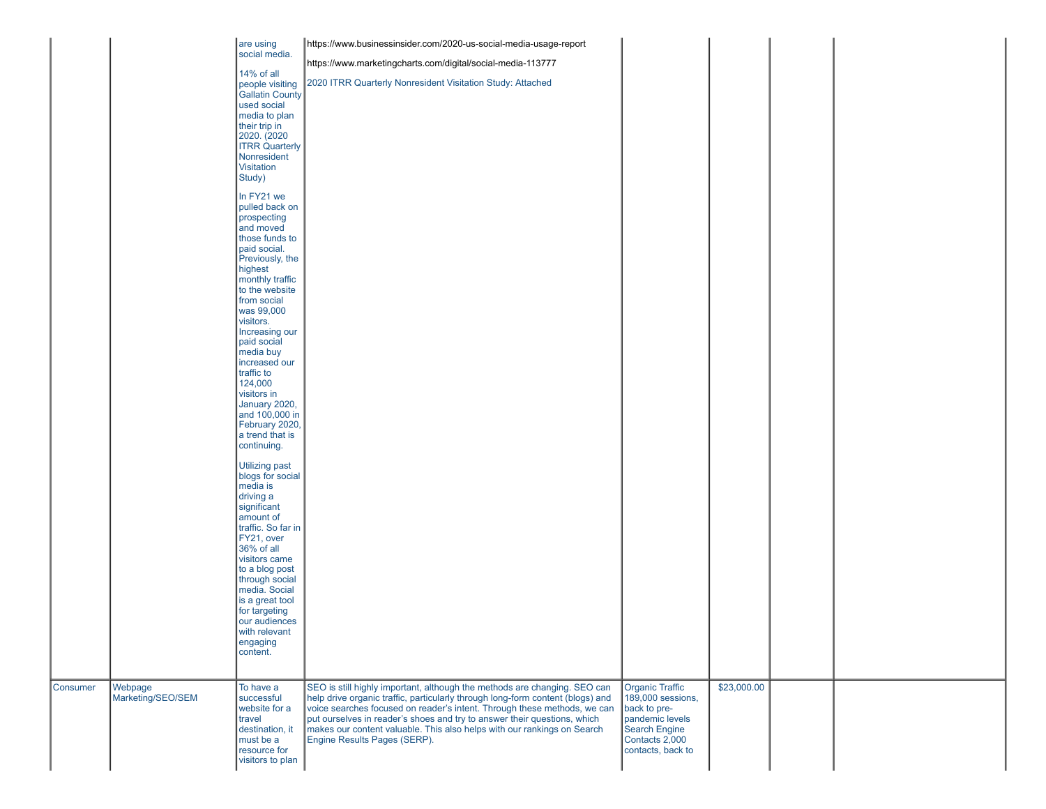| social media.<br>https://www.marketingcharts.com/digital/social-media-113777<br>14% of all<br>2020 ITRR Quarterly Nonresident Visitation Study: Attached<br>people visiting<br>Gallatin County<br>used social<br>media to plan<br>their trip in<br>2020. (2020<br>ITRR Quarterly<br>Nonresident<br>Visitation<br>Study)<br>In FY21 we<br>pulled back on<br>prospecting<br>and moved<br>those funds to<br>paid social.<br>Previously, the<br>highest<br>monthly traffic<br>to the website<br>from social<br>was 99,000<br>visitors.<br>Increasing our<br>paid social<br>media buy<br>increased our<br>traffic to<br>124,000<br>visitors in<br>January 2020,<br>and 100,000 in<br>February 2020,<br>a trend that is<br>continuing.<br>Utilizing past<br>blogs for social<br>media is<br>driving a<br>significant<br>amount of<br>traffic. So far in<br>FY21, over<br>36% of all<br>visitors came<br>to a blog post<br>through social<br>media. Social<br>is a great tool<br>for targeting<br>our audiences<br>with relevant<br>engaging<br>content. |          |         | are using | https://www.businessinsider.com/2020-us-social-media-usage-report |             |  |
|---------------------------------------------------------------------------------------------------------------------------------------------------------------------------------------------------------------------------------------------------------------------------------------------------------------------------------------------------------------------------------------------------------------------------------------------------------------------------------------------------------------------------------------------------------------------------------------------------------------------------------------------------------------------------------------------------------------------------------------------------------------------------------------------------------------------------------------------------------------------------------------------------------------------------------------------------------------------------------------------------------------------------------------------------|----------|---------|-----------|-------------------------------------------------------------------|-------------|--|
|                                                                                                                                                                                                                                                                                                                                                                                                                                                                                                                                                                                                                                                                                                                                                                                                                                                                                                                                                                                                                                                   |          |         |           |                                                                   |             |  |
|                                                                                                                                                                                                                                                                                                                                                                                                                                                                                                                                                                                                                                                                                                                                                                                                                                                                                                                                                                                                                                                   |          |         |           |                                                                   |             |  |
|                                                                                                                                                                                                                                                                                                                                                                                                                                                                                                                                                                                                                                                                                                                                                                                                                                                                                                                                                                                                                                                   |          |         |           |                                                                   |             |  |
|                                                                                                                                                                                                                                                                                                                                                                                                                                                                                                                                                                                                                                                                                                                                                                                                                                                                                                                                                                                                                                                   |          |         |           |                                                                   |             |  |
|                                                                                                                                                                                                                                                                                                                                                                                                                                                                                                                                                                                                                                                                                                                                                                                                                                                                                                                                                                                                                                                   |          |         |           |                                                                   |             |  |
|                                                                                                                                                                                                                                                                                                                                                                                                                                                                                                                                                                                                                                                                                                                                                                                                                                                                                                                                                                                                                                                   |          |         |           |                                                                   |             |  |
|                                                                                                                                                                                                                                                                                                                                                                                                                                                                                                                                                                                                                                                                                                                                                                                                                                                                                                                                                                                                                                                   |          |         |           |                                                                   |             |  |
|                                                                                                                                                                                                                                                                                                                                                                                                                                                                                                                                                                                                                                                                                                                                                                                                                                                                                                                                                                                                                                                   |          |         |           |                                                                   |             |  |
|                                                                                                                                                                                                                                                                                                                                                                                                                                                                                                                                                                                                                                                                                                                                                                                                                                                                                                                                                                                                                                                   |          |         |           |                                                                   |             |  |
|                                                                                                                                                                                                                                                                                                                                                                                                                                                                                                                                                                                                                                                                                                                                                                                                                                                                                                                                                                                                                                                   |          |         |           |                                                                   |             |  |
|                                                                                                                                                                                                                                                                                                                                                                                                                                                                                                                                                                                                                                                                                                                                                                                                                                                                                                                                                                                                                                                   |          |         |           |                                                                   |             |  |
|                                                                                                                                                                                                                                                                                                                                                                                                                                                                                                                                                                                                                                                                                                                                                                                                                                                                                                                                                                                                                                                   |          |         |           |                                                                   |             |  |
|                                                                                                                                                                                                                                                                                                                                                                                                                                                                                                                                                                                                                                                                                                                                                                                                                                                                                                                                                                                                                                                   |          |         |           |                                                                   |             |  |
|                                                                                                                                                                                                                                                                                                                                                                                                                                                                                                                                                                                                                                                                                                                                                                                                                                                                                                                                                                                                                                                   |          |         |           |                                                                   |             |  |
|                                                                                                                                                                                                                                                                                                                                                                                                                                                                                                                                                                                                                                                                                                                                                                                                                                                                                                                                                                                                                                                   |          |         |           |                                                                   |             |  |
|                                                                                                                                                                                                                                                                                                                                                                                                                                                                                                                                                                                                                                                                                                                                                                                                                                                                                                                                                                                                                                                   |          |         |           |                                                                   |             |  |
|                                                                                                                                                                                                                                                                                                                                                                                                                                                                                                                                                                                                                                                                                                                                                                                                                                                                                                                                                                                                                                                   |          |         |           |                                                                   |             |  |
|                                                                                                                                                                                                                                                                                                                                                                                                                                                                                                                                                                                                                                                                                                                                                                                                                                                                                                                                                                                                                                                   |          |         |           |                                                                   |             |  |
|                                                                                                                                                                                                                                                                                                                                                                                                                                                                                                                                                                                                                                                                                                                                                                                                                                                                                                                                                                                                                                                   |          |         |           |                                                                   |             |  |
|                                                                                                                                                                                                                                                                                                                                                                                                                                                                                                                                                                                                                                                                                                                                                                                                                                                                                                                                                                                                                                                   |          |         |           |                                                                   |             |  |
|                                                                                                                                                                                                                                                                                                                                                                                                                                                                                                                                                                                                                                                                                                                                                                                                                                                                                                                                                                                                                                                   |          |         |           |                                                                   |             |  |
|                                                                                                                                                                                                                                                                                                                                                                                                                                                                                                                                                                                                                                                                                                                                                                                                                                                                                                                                                                                                                                                   |          |         |           |                                                                   |             |  |
|                                                                                                                                                                                                                                                                                                                                                                                                                                                                                                                                                                                                                                                                                                                                                                                                                                                                                                                                                                                                                                                   |          |         |           |                                                                   |             |  |
|                                                                                                                                                                                                                                                                                                                                                                                                                                                                                                                                                                                                                                                                                                                                                                                                                                                                                                                                                                                                                                                   |          |         |           |                                                                   |             |  |
|                                                                                                                                                                                                                                                                                                                                                                                                                                                                                                                                                                                                                                                                                                                                                                                                                                                                                                                                                                                                                                                   |          |         |           |                                                                   |             |  |
|                                                                                                                                                                                                                                                                                                                                                                                                                                                                                                                                                                                                                                                                                                                                                                                                                                                                                                                                                                                                                                                   |          |         |           |                                                                   |             |  |
|                                                                                                                                                                                                                                                                                                                                                                                                                                                                                                                                                                                                                                                                                                                                                                                                                                                                                                                                                                                                                                                   |          |         |           |                                                                   |             |  |
|                                                                                                                                                                                                                                                                                                                                                                                                                                                                                                                                                                                                                                                                                                                                                                                                                                                                                                                                                                                                                                                   |          |         |           |                                                                   |             |  |
|                                                                                                                                                                                                                                                                                                                                                                                                                                                                                                                                                                                                                                                                                                                                                                                                                                                                                                                                                                                                                                                   |          |         |           |                                                                   |             |  |
|                                                                                                                                                                                                                                                                                                                                                                                                                                                                                                                                                                                                                                                                                                                                                                                                                                                                                                                                                                                                                                                   |          |         |           |                                                                   |             |  |
|                                                                                                                                                                                                                                                                                                                                                                                                                                                                                                                                                                                                                                                                                                                                                                                                                                                                                                                                                                                                                                                   |          |         |           |                                                                   |             |  |
|                                                                                                                                                                                                                                                                                                                                                                                                                                                                                                                                                                                                                                                                                                                                                                                                                                                                                                                                                                                                                                                   |          |         |           |                                                                   |             |  |
|                                                                                                                                                                                                                                                                                                                                                                                                                                                                                                                                                                                                                                                                                                                                                                                                                                                                                                                                                                                                                                                   |          |         |           |                                                                   |             |  |
|                                                                                                                                                                                                                                                                                                                                                                                                                                                                                                                                                                                                                                                                                                                                                                                                                                                                                                                                                                                                                                                   |          |         |           |                                                                   |             |  |
|                                                                                                                                                                                                                                                                                                                                                                                                                                                                                                                                                                                                                                                                                                                                                                                                                                                                                                                                                                                                                                                   |          |         |           |                                                                   |             |  |
| SEO is still highly important, although the methods are changing. SEO can<br><b>Organic Traffic</b><br>To have a                                                                                                                                                                                                                                                                                                                                                                                                                                                                                                                                                                                                                                                                                                                                                                                                                                                                                                                                  | Consumer | Webpage |           |                                                                   | \$23,000.00 |  |
| help drive organic traffic, particularly through long-form content (blogs) and<br>Marketing/SEO/SEM<br>successful<br>189,000 sessions,<br>voice searches focused on reader's intent. Through these methods, we can<br>website for a<br>back to pre-                                                                                                                                                                                                                                                                                                                                                                                                                                                                                                                                                                                                                                                                                                                                                                                               |          |         |           |                                                                   |             |  |
| put ourselves in reader's shoes and try to answer their questions, which<br>pandemic levels<br>travel<br>makes our content valuable. This also helps with our rankings on Search<br>Search Engine<br>destination, it                                                                                                                                                                                                                                                                                                                                                                                                                                                                                                                                                                                                                                                                                                                                                                                                                              |          |         |           |                                                                   |             |  |
| must be a<br>Engine Results Pages (SERP).<br>Contacts 2,000                                                                                                                                                                                                                                                                                                                                                                                                                                                                                                                                                                                                                                                                                                                                                                                                                                                                                                                                                                                       |          |         |           |                                                                   |             |  |
| resource for<br>contacts, back to<br>visitors to plan                                                                                                                                                                                                                                                                                                                                                                                                                                                                                                                                                                                                                                                                                                                                                                                                                                                                                                                                                                                             |          |         |           |                                                                   |             |  |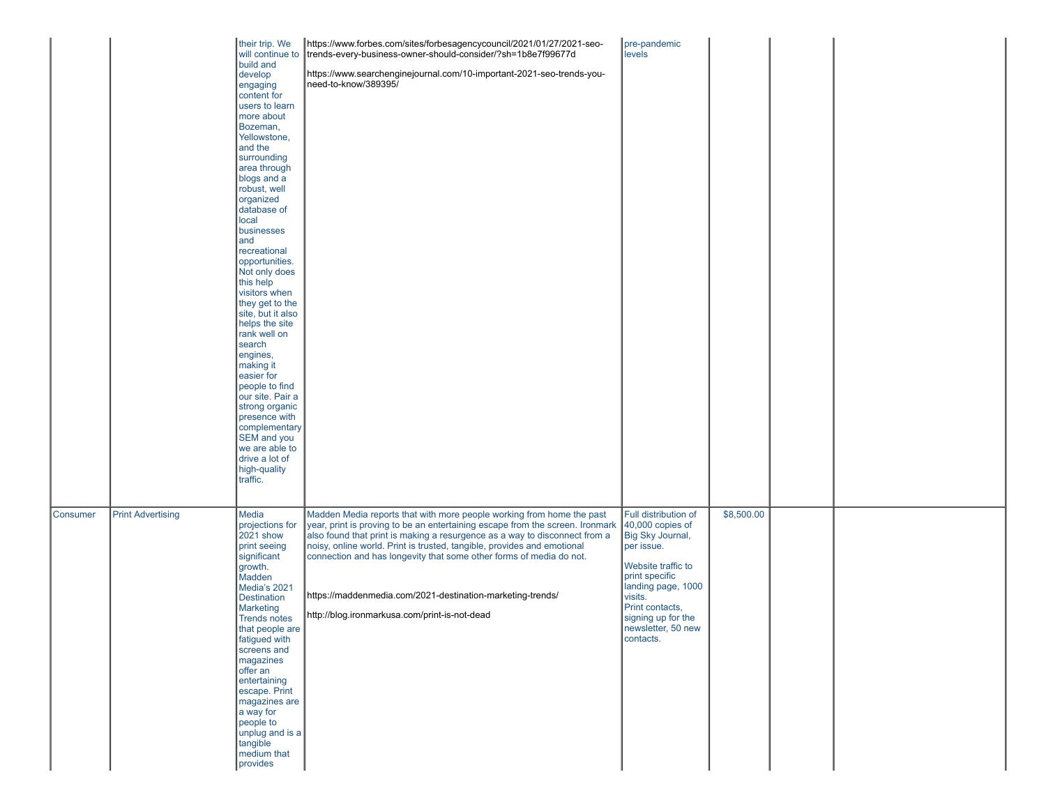|          |                          | their trip. We<br>will continue to<br>build and<br>develop<br>engaging<br>content for<br>users to learn<br>more about<br>Bozeman,<br>Yellowstone,<br>and the<br>surrounding<br>area through<br>blogs and a<br>robust, well<br>organized<br>database of<br>local<br>businesses<br>and<br>recreational<br>opportunities.<br>Not only does<br>this help<br>visitors when<br>they get to the<br>site, but it also<br>helps the site<br>rank well on<br>search<br>engines,<br>making it<br>easier for<br>people to find<br>our site. Pair a<br>strong organic<br>presence with<br>complementary<br>SEM and you<br>we are able to<br>drive a lot of<br>high-quality<br>traffic. | https://www.forbes.com/sites/forbesagencycouncil/2021/01/27/2021-seo-<br>trends-every-business-owner-should-consider/?sh=1b8e7f99677d<br>https://www.searchenginejournal.com/10-important-2021-seo-trends-you-<br>need-to-know/389395/                                                                                                                                                                                                                                                                | pre-pandemic<br>levels                                                                                                                                                                                                            |            |  |  |
|----------|--------------------------|---------------------------------------------------------------------------------------------------------------------------------------------------------------------------------------------------------------------------------------------------------------------------------------------------------------------------------------------------------------------------------------------------------------------------------------------------------------------------------------------------------------------------------------------------------------------------------------------------------------------------------------------------------------------------|-------------------------------------------------------------------------------------------------------------------------------------------------------------------------------------------------------------------------------------------------------------------------------------------------------------------------------------------------------------------------------------------------------------------------------------------------------------------------------------------------------|-----------------------------------------------------------------------------------------------------------------------------------------------------------------------------------------------------------------------------------|------------|--|--|
| Consumer | <b>Print Advertising</b> | Media<br>projections for<br>2021 show<br>print seeing<br>significant<br>growth.<br>Madden<br>Media's 2021<br>Destination<br><b>Marketing</b><br><b>Trends notes</b><br>that people are<br>fatigued with<br>screens and<br>magazines<br>offer an<br>entertaining<br>escape. Print<br>magazines are<br>a way for<br>people to<br>unplug and is a<br>tangible<br>medium that<br>provides                                                                                                                                                                                                                                                                                     | Madden Media reports that with more people working from home the past<br>year, print is proving to be an entertaining escape from the screen. Ironmark<br>also found that print is making a resurgence as a way to disconnect from a<br>noisy, online world. Print is trusted, tangible, provides and emotional<br>connection and has longevity that some other forms of media do not.<br>https://maddenmedia.com/2021-destination-marketing-trends/<br>http://blog.ironmarkusa.com/print-is-not-dead | Full distribution of<br>$40,000$ copies of<br>Big Sky Journal,<br>per issue.<br>Website traffic to<br>print specific<br>landing page, 1000<br>visits.<br>Print contacts,<br>signing up for the<br>newsletter, 50 new<br>contacts. | \$8,500.00 |  |  |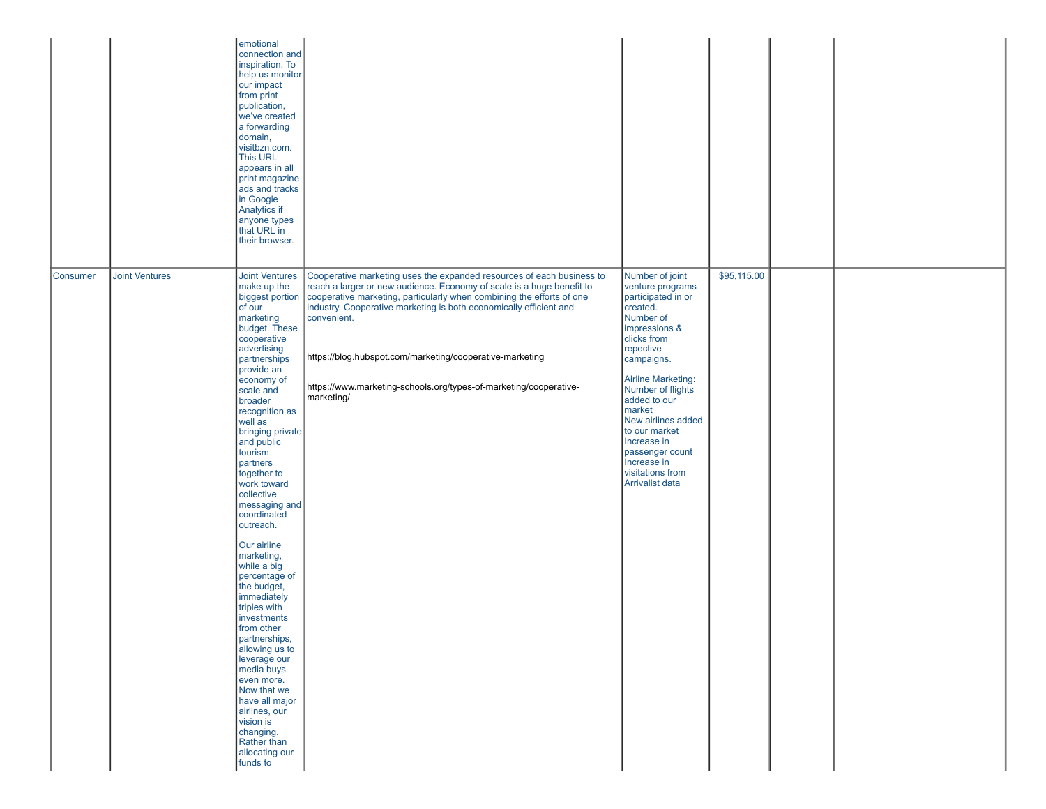|          |                       | emotional<br>connection and<br>inspiration. To<br>help us monitor<br>our impact<br>from print<br>publication,<br>we've created<br>a forwarding<br>domain,<br>visitbzn.com.<br>This URL<br>appears in all<br>print magazine<br>ads and tracks<br>in Google<br>Analytics if<br>anyone types<br>that URL in<br>their browser.                                                                                                                                                                                                                                                                                                                                                                                    |                                                                                                                                                                                                                                                                                                                                                                                                                                                                               |                                                                                                                                                                                                                                                                                                                                                          |             |  |
|----------|-----------------------|---------------------------------------------------------------------------------------------------------------------------------------------------------------------------------------------------------------------------------------------------------------------------------------------------------------------------------------------------------------------------------------------------------------------------------------------------------------------------------------------------------------------------------------------------------------------------------------------------------------------------------------------------------------------------------------------------------------|-------------------------------------------------------------------------------------------------------------------------------------------------------------------------------------------------------------------------------------------------------------------------------------------------------------------------------------------------------------------------------------------------------------------------------------------------------------------------------|----------------------------------------------------------------------------------------------------------------------------------------------------------------------------------------------------------------------------------------------------------------------------------------------------------------------------------------------------------|-------------|--|
| Consumer | <b>Joint Ventures</b> | <b>Joint Ventures</b><br>make up the<br>of our<br>marketing<br>budget. These<br>cooperative<br>advertising<br>partnerships<br>provide an<br>economy of<br>scale and<br>broader<br>recognition as<br>well as<br>bringing private<br>and public<br>tourism<br>partners<br>together to<br>work toward<br>collective<br>messaging and<br>coordinated<br>outreach.<br>Our airline<br>marketing,<br>while a big<br>percentage of<br>the budget,<br>immediately<br>triples with<br>investments<br>from other<br>partnerships,<br>allowing us to<br>leverage our<br>media buys<br>even more.<br>Now that we<br>have all major<br>airlines, our<br>vision is<br>changing.<br>Rather than<br>allocating our<br>funds to | Cooperative marketing uses the expanded resources of each business to<br>reach a larger or new audience. Economy of scale is a huge benefit to<br>biggest portion   cooperative marketing, particularly when combining the efforts of one<br>industry. Cooperative marketing is both economically efficient and<br>convenient.<br>https://blog.hubspot.com/marketing/cooperative-marketing<br>https://www.marketing-schools.org/types-of-marketing/cooperative-<br>marketing/ | Number of joint<br>venture programs<br>participated in or<br>created.<br>Number of<br>impressions &<br>clicks from<br>repective<br>campaigns.<br>Airline Marketing:<br>Number of flights<br>added to our<br>market<br>New airlines added<br>to our market<br>Increase in<br>passenger count<br>Increase in<br>visitations from<br><b>Arrivalist data</b> | \$95,115.00 |  |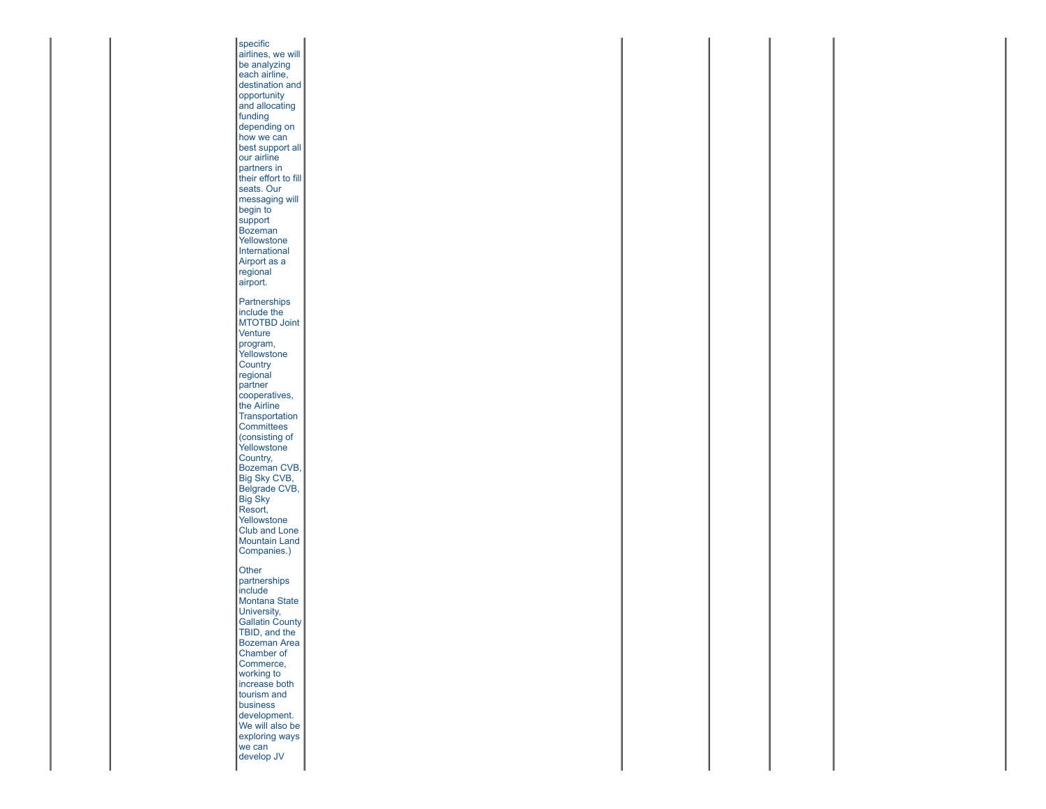specific airlines, we will be analyzing each airline, destination and **opportunity** and allocating funding depending on how we can best support all our airline partners in their effort to fill seats. Our messaging will begin to support Bozeman Yellowstone **International** Airport as a regional airport. **Partnerships** include the MTOTBD Joint **Venture** program, **Yellowstone Country** regional partner cooperatives, the Airline Transportation **Committees** (consisting of Yellowstone Country, Bozeman CVB, Big Sky CVB, Belgrade CVB, Big Sky Resort, Yellowstone Club and Lone Mountain Land Companies.) **Other** partnerships include Montana State University, Gallatin County TBID, and the Bozeman Area Chamber of Commerce, working to increase both tourism and business development. We will also be exploring ways we can develop JV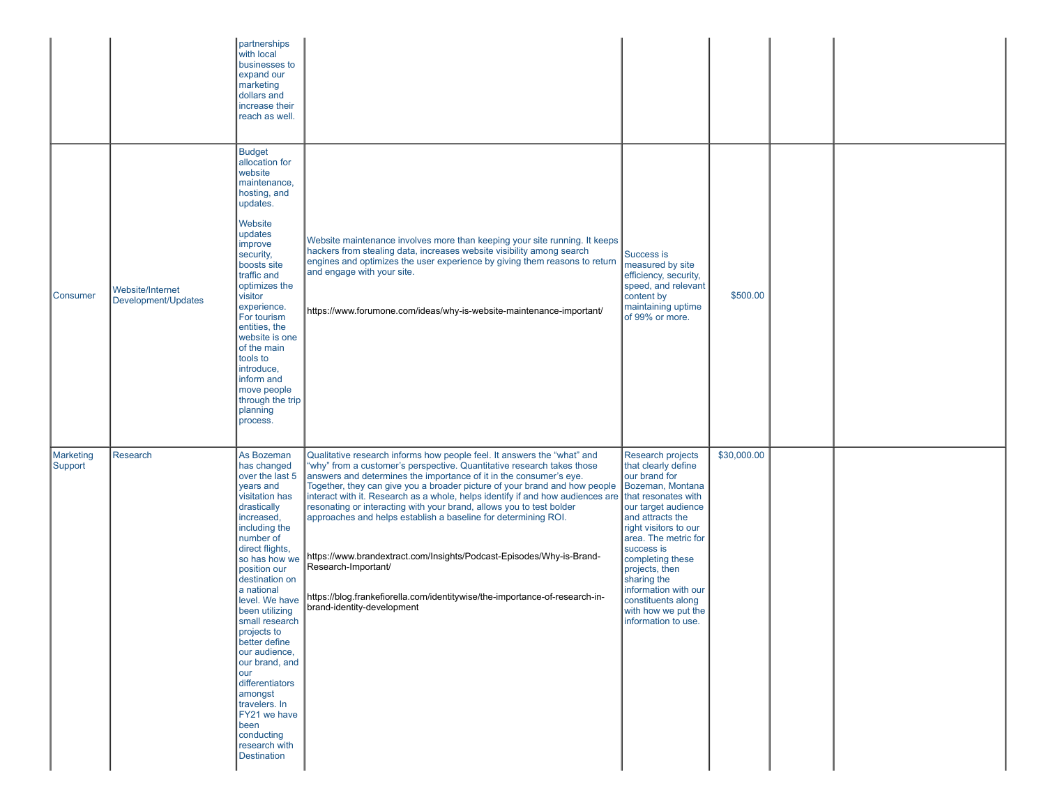|                             |                                         | partnerships<br>with local<br>businesses to<br>expand our<br>marketing<br>dollars and<br>increase their<br>reach as well.                                                                                                                                                                                                                                                                                                                                                               |                                                                                                                                                                                                                                                                                                                                                                                                                                                                                                                                                                                                                                                                                                                                               |                                                                                                                                                                                                                                                                                                                                                                 |             |  |
|-----------------------------|-----------------------------------------|-----------------------------------------------------------------------------------------------------------------------------------------------------------------------------------------------------------------------------------------------------------------------------------------------------------------------------------------------------------------------------------------------------------------------------------------------------------------------------------------|-----------------------------------------------------------------------------------------------------------------------------------------------------------------------------------------------------------------------------------------------------------------------------------------------------------------------------------------------------------------------------------------------------------------------------------------------------------------------------------------------------------------------------------------------------------------------------------------------------------------------------------------------------------------------------------------------------------------------------------------------|-----------------------------------------------------------------------------------------------------------------------------------------------------------------------------------------------------------------------------------------------------------------------------------------------------------------------------------------------------------------|-------------|--|
| Consumer                    | Website/Internet<br>Development/Updates | <b>Budget</b><br>allocation for<br>website<br>maintenance,<br>hosting, and<br>updates.<br>Website<br>updates<br>improve<br>security,<br>boosts site<br>traffic and<br>optimizes the<br>visitor<br>experience.<br>For tourism<br>entities, the<br>website is one<br>of the main<br>tools to<br>introduce,<br>inform and<br>move people<br>through the trip<br>planning<br>process.                                                                                                       | Website maintenance involves more than keeping your site running. It keeps<br>hackers from stealing data, increases website visibility among search<br>engines and optimizes the user experience by giving them reasons to return<br>and engage with your site.<br>https://www.forumone.com/ideas/why-is-website-maintenance-important/                                                                                                                                                                                                                                                                                                                                                                                                       | Success is<br>measured by site<br>efficiency, security,<br>speed, and relevant<br>content by<br>maintaining uptime<br>of 99% or more.                                                                                                                                                                                                                           | \$500.00    |  |
| <b>Marketing</b><br>Support | Research                                | As Bozeman<br>has changed<br>over the last 5<br>years and<br>visitation has<br>drastically<br>increased,<br>including the<br>number of<br>direct flights,<br>so has how we<br>position our<br>destination on<br>a national<br>level. We have<br>been utilizing<br>small research<br>projects to<br>better define<br>our audience,<br>our brand, and<br>lour<br>differentiators<br>amongst<br>travelers. In<br>FY21 we have<br>been<br>conducting<br>research with<br><b>Destination</b> | Qualitative research informs how people feel. It answers the "what" and<br>"why" from a customer's perspective. Quantitative research takes those<br>answers and determines the importance of it in the consumer's eye.<br>Together, they can give you a broader picture of your brand and how people<br>interact with it. Research as a whole, helps identify if and how audiences are<br>resonating or interacting with your brand, allows you to test bolder<br>approaches and helps establish a baseline for determining ROI.<br>https://www.brandextract.com/Insights/Podcast-Episodes/Why-is-Brand-<br>Research-Important/<br>https://blog.frankefiorella.com/identitywise/the-importance-of-research-in-<br>brand-identity-development | Research projects<br>that clearly define<br>our brand for<br>Bozeman, Montana<br>that resonates with<br>our target audience<br>and attracts the<br>right visitors to our<br>area. The metric for<br>success is<br>completing these<br>projects, then<br>sharing the<br>information with our<br>constituents along<br>with how we put the<br>information to use. | \$30,000.00 |  |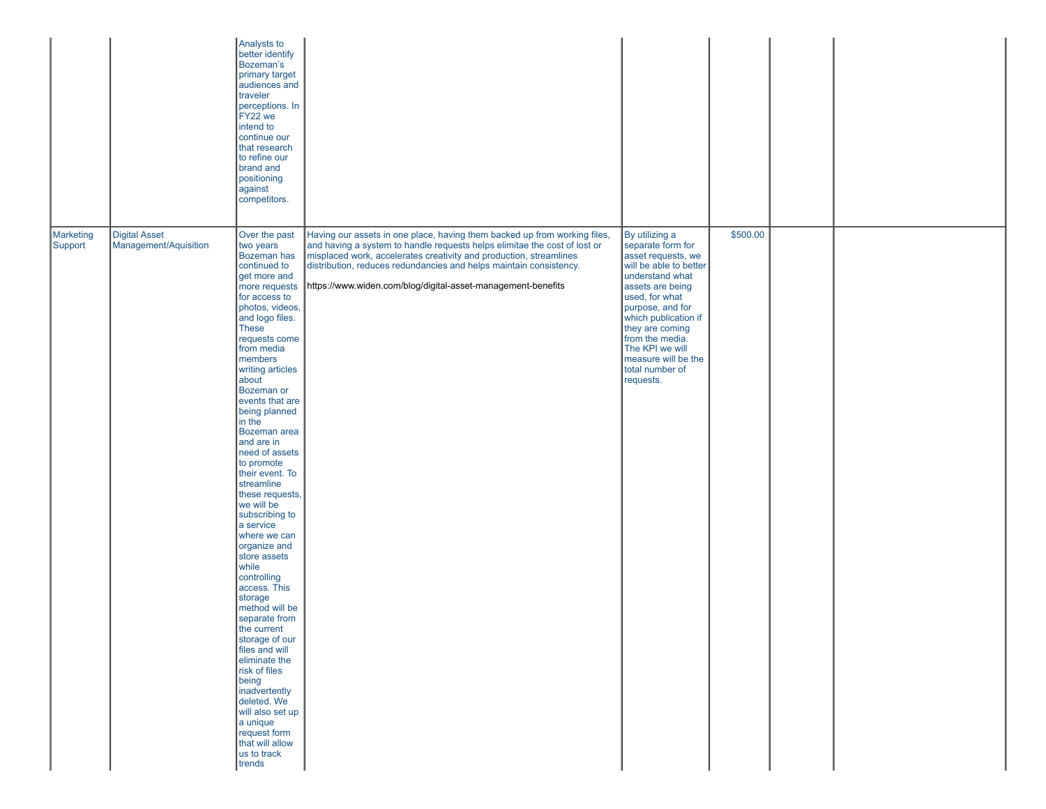|                      |                                               | Analysts to<br>better identify<br>Bozeman's<br>primary target<br>audiences and<br>traveler<br>perceptions. In<br>FY22 we<br>intend to<br>continue our<br>that research<br>to refine our<br>brand and<br>positioning<br>against<br>competitors.                                                                                                                                                                                                                                                                                                                                                                                                                                                                                                                                                                               |                                                                                                                                                                                                                                                                                                                                                                    |                                                                                                                                                                                                                                                                                                          |          |  |  |
|----------------------|-----------------------------------------------|------------------------------------------------------------------------------------------------------------------------------------------------------------------------------------------------------------------------------------------------------------------------------------------------------------------------------------------------------------------------------------------------------------------------------------------------------------------------------------------------------------------------------------------------------------------------------------------------------------------------------------------------------------------------------------------------------------------------------------------------------------------------------------------------------------------------------|--------------------------------------------------------------------------------------------------------------------------------------------------------------------------------------------------------------------------------------------------------------------------------------------------------------------------------------------------------------------|----------------------------------------------------------------------------------------------------------------------------------------------------------------------------------------------------------------------------------------------------------------------------------------------------------|----------|--|--|
| Marketing<br>Support | <b>Digital Asset</b><br>Management/Aquisition | Over the past<br>two years<br>Bozeman has<br>continued to<br>get more and<br>more requests<br>for access to<br>photos, videos,<br>and logo files.<br>These<br>requests come<br>from media<br>members<br>writing articles<br>about<br>Bozeman or<br>events that are<br>being planned<br>in the<br>Bozeman area<br>and are in<br>need of assets<br>to promote<br>their event. To<br>streamline<br>these requests,<br>we will be<br>subscribing to<br>a service<br>where we can<br>organize and<br>store assets<br>while<br>controlling<br>access. This<br>storage<br>method will be<br>separate from<br>the current<br>storage of our<br>files and will<br>eliminate the<br>risk of files<br>being<br>inadvertently<br>deleted. We<br>will also set up<br>a unique<br>request form<br>that will allow<br>us to track<br>trends | Having our assets in one place, having them backed up from working files,<br>and having a system to handle requests helps elimitae the cost of lost or<br>misplaced work, accelerates creativity and production, streamlines<br>distribution, reduces redundancies and helps maintain consistency.<br>https://www.widen.com/blog/digital-asset-management-benefits | By utilizing a<br>separate form for<br>asset requests, we<br>will be able to better<br>understand what<br>assets are being<br>used, for what<br>purpose, and for<br>which publication if<br>they are coming<br>from the media.<br>The KPI we will<br>measure will be the<br>total number of<br>requests. | \$500.00 |  |  |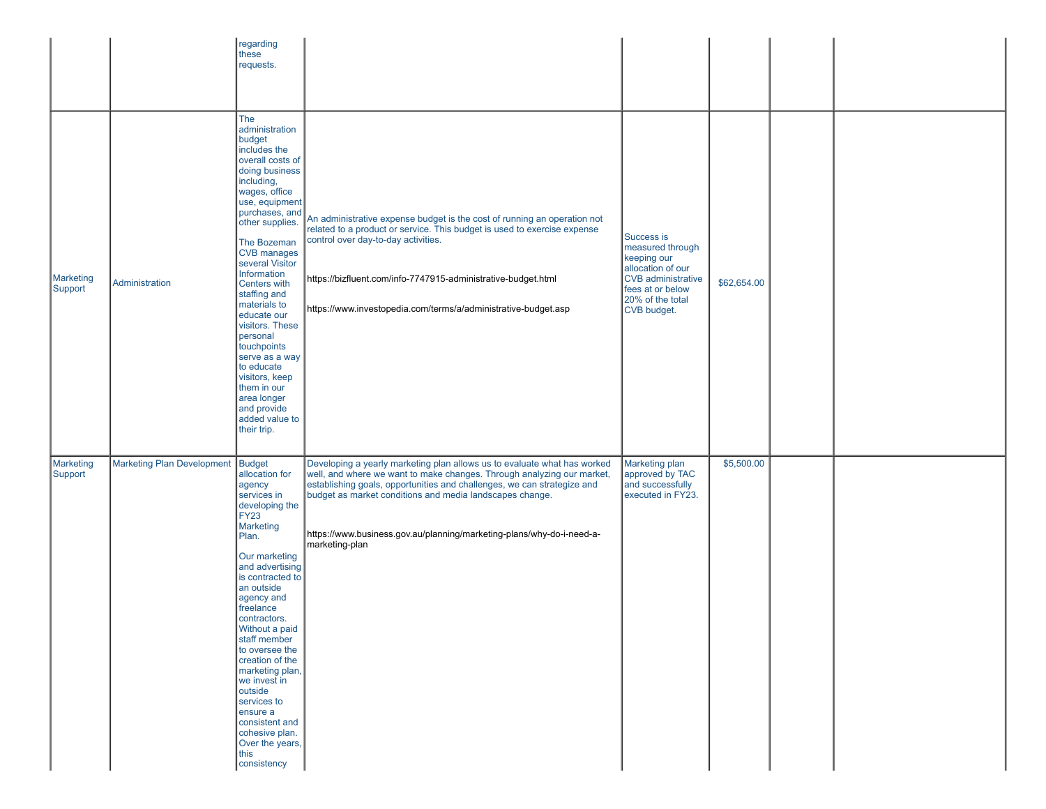|                             |                                   | regarding<br>these<br>requests.                                                                                                                                                                                                                                                                                                                                                                                                                                                          |                                                                                                                                                                                                                                                                                                                                                                                      |                                                                                                                                                 |             |  |
|-----------------------------|-----------------------------------|------------------------------------------------------------------------------------------------------------------------------------------------------------------------------------------------------------------------------------------------------------------------------------------------------------------------------------------------------------------------------------------------------------------------------------------------------------------------------------------|--------------------------------------------------------------------------------------------------------------------------------------------------------------------------------------------------------------------------------------------------------------------------------------------------------------------------------------------------------------------------------------|-------------------------------------------------------------------------------------------------------------------------------------------------|-------------|--|
| Marketing<br>Support        | Administration                    | The<br>administration<br>budget<br>includes the<br>overall costs of<br>doing business<br>including,<br>wages, office<br>use, equipment<br>purchases, and<br>other supplies.<br>The Bozeman<br>CVB manages<br>several Visitor<br>Information<br>Centers with<br>staffing and<br>materials to<br>educate our<br>visitors. These<br>personal<br>touchpoints<br>serve as a way<br>to educate<br>visitors, keep<br>them in our<br>area longer<br>and provide<br>added value to<br>their trip. | An administrative expense budget is the cost of running an operation not<br>related to a product or service. This budget is used to exercise expense<br>control over day-to-day activities.<br>https://bizfluent.com/info-7747915-administrative-budget.html<br>https://www.investopedia.com/terms/a/administrative-budget.asp                                                       | Success is<br>measured through<br>keeping our<br>allocation of our<br>CVB administrative<br>fees at or below<br>20% of the total<br>CVB budget. | \$62,654.00 |  |
| <b>Marketing</b><br>Support | Marketing Plan Development Budget | allocation for<br>agency<br>services in<br>developing the<br>FY23<br>Marketing<br>Plan.<br>Our marketing<br>and advertising<br>is contracted to<br>an outside<br>agency and<br>freelance<br>contractors.<br>Without a paid<br>staff member<br>to oversee the<br>creation of the<br>marketing plan,<br>we invest in<br>outside<br>services to<br>ensure a<br>consistent and<br>cohesive plan.<br>Over the years,<br>this<br>consistency                                                   | Developing a yearly marketing plan allows us to evaluate what has worked<br>well, and where we want to make changes. Through analyzing our market,<br>establishing goals, opportunities and challenges, we can strategize and<br>budget as market conditions and media landscapes change.<br>https://www.business.gov.au/planning/marketing-plans/why-do-i-need-a-<br>marketing-plan | Marketing plan<br>approved by TAC<br>and successfully<br>executed in FY23.                                                                      | \$5,500.00  |  |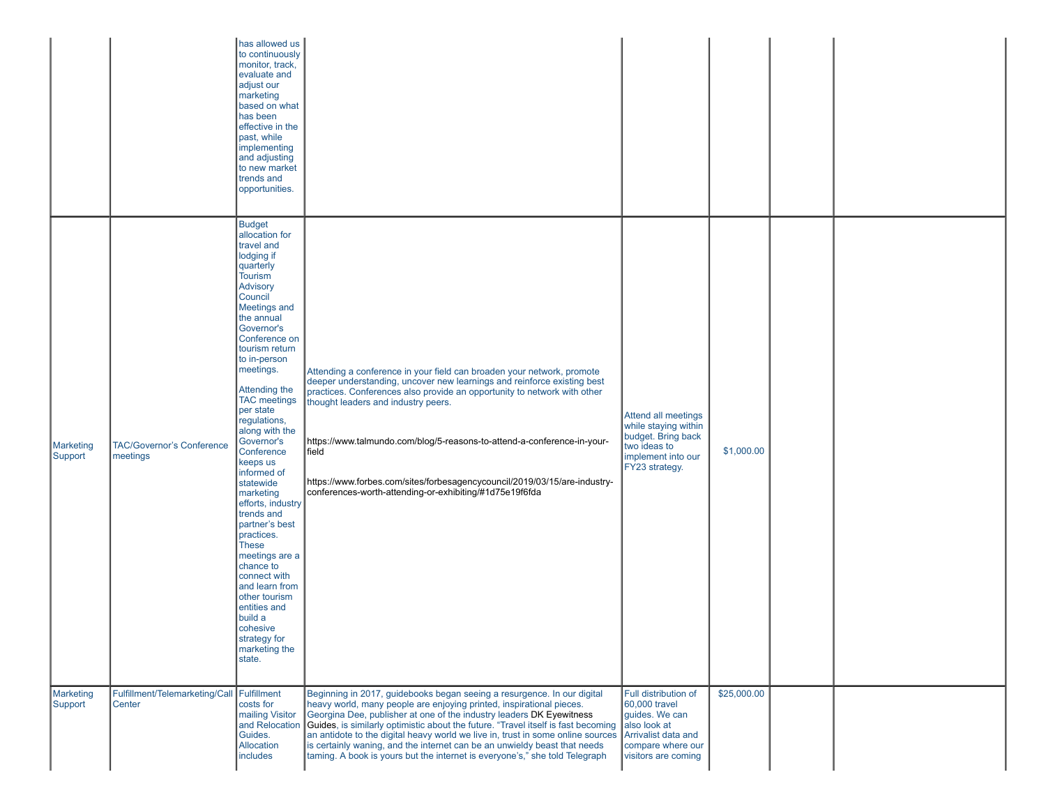|                             |                                              | has allowed us<br>to continuously<br>monitor, track,<br>evaluate and<br>adjust our<br>marketing<br>based on what<br>has been<br>effective in the<br>past, while<br>implementing<br>and adjusting<br>to new market<br>trends and<br>opportunities.<br><b>Budget</b>                                                                                                                                                                                                                                                                                                                                                                                 |                                                                                                                                                                                                                                                                                                                                                                                                                                                                                                                                                             |                                                                                                                                            |             |  |
|-----------------------------|----------------------------------------------|----------------------------------------------------------------------------------------------------------------------------------------------------------------------------------------------------------------------------------------------------------------------------------------------------------------------------------------------------------------------------------------------------------------------------------------------------------------------------------------------------------------------------------------------------------------------------------------------------------------------------------------------------|-------------------------------------------------------------------------------------------------------------------------------------------------------------------------------------------------------------------------------------------------------------------------------------------------------------------------------------------------------------------------------------------------------------------------------------------------------------------------------------------------------------------------------------------------------------|--------------------------------------------------------------------------------------------------------------------------------------------|-------------|--|
| <b>Marketing</b><br>Support | <b>TAC/Governor's Conference</b><br>meetings | allocation for<br>travel and<br>lodging if<br>quarterly<br><b>Tourism</b><br>Advisory<br>Council<br><b>Meetings and</b><br>the annual<br>Governor's<br>Conference on<br>tourism return<br>to in-person<br>meetings.<br>Attending the<br><b>TAC</b> meetings<br>per state<br>regulations,<br>along with the<br>Governor's<br>Conference<br>keeps us<br>informed of<br>statewide<br>marketing<br>efforts, industry<br>trends and<br>partner's best<br>practices.<br><b>These</b><br>meetings are a<br>chance to<br>connect with<br>and learn from<br>other tourism<br>entities and<br>build a<br>cohesive<br>strategy for<br>marketing the<br>state. | Attending a conference in your field can broaden your network, promote<br>deeper understanding, uncover new learnings and reinforce existing best<br>practices. Conferences also provide an opportunity to network with other<br>thought leaders and industry peers.<br>https://www.talmundo.com/blog/5-reasons-to-attend-a-conference-in-your-<br>∣field<br>https://www.forbes.com/sites/forbesagencycouncil/2019/03/15/are-industry-<br>conferences-worth-attending-or-exhibiting/#1d75e19f6fda                                                           | Attend all meetings<br>while staying within<br>budget. Bring back<br>two ideas to<br>implement into our<br>FY23 strategy.                  | \$1,000.00  |  |
| <b>Marketing</b><br>Support | Fulfillment/Telemarketing/Call<br>Center     | Fulfillment<br>costs for<br>mailing Visitor<br>and Relocation<br>Guides.<br>Allocation<br>includes                                                                                                                                                                                                                                                                                                                                                                                                                                                                                                                                                 | Beginning in 2017, guidebooks began seeing a resurgence. In our digital<br>heavy world, many people are enjoying printed, inspirational pieces.<br>Georgina Dee, publisher at one of the industry leaders DK Eyewitness<br>Guides, is similarly optimistic about the future. "Travel itself is fast becoming<br>an antidote to the digital heavy world we live in, trust in some online sources<br>is certainly waning, and the internet can be an unwieldy beast that needs<br>taming. A book is yours but the internet is everyone's," she told Telegraph | Full distribution of<br>60,000 travel<br>guides. We can<br>also look at<br>Arrivalist data and<br>compare where our<br>visitors are coming | \$25,000.00 |  |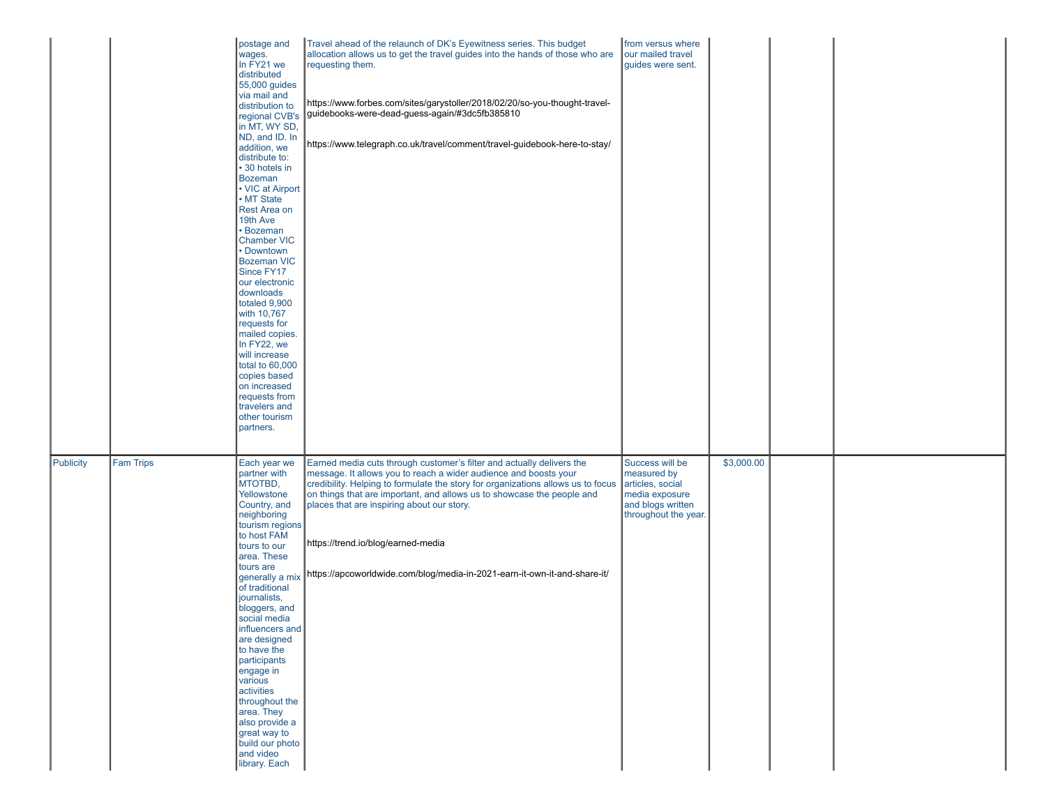|           |                  | postage and<br>wages.<br>In FY21 we<br>distributed<br>55,000 guides<br>via mail and<br>distribution to<br>regional CVB's<br>in MT, WY SD,<br>ND, and ID. In<br>addition, we<br>distribute to:<br>• 30 hotels in<br><b>Bozeman</b><br>• VIC at Airport<br>• MT State<br>Rest Area on<br>19th Ave<br><b>Bozeman</b><br><b>Chamber VIC</b><br>• Downtown<br><b>Bozeman VIC</b><br>Since FY17<br>our electronic<br>downloads<br>totaled 9,900<br>with 10,767<br>requests for<br>mailed copies.<br>In FY22, we<br>will increase<br>total to 60,000<br>copies based<br>on increased<br>requests from<br>travelers and<br>other tourism<br>partners. | Travel ahead of the relaunch of DK's Eyewitness series. This budget<br>allocation allows us to get the travel guides into the hands of those who are<br>requesting them.<br>https://www.forbes.com/sites/garystoller/2018/02/20/so-you-thought-travel-<br>guidebooks-were-dead-guess-again/#3dc5fb385810<br>https://www.telegraph.co.uk/travel/comment/travel-guidebook-here-to-stay/                                                                                    | from versus where<br>our mailed travel<br>guides were sent.                                                       |            |  |  |
|-----------|------------------|-----------------------------------------------------------------------------------------------------------------------------------------------------------------------------------------------------------------------------------------------------------------------------------------------------------------------------------------------------------------------------------------------------------------------------------------------------------------------------------------------------------------------------------------------------------------------------------------------------------------------------------------------|--------------------------------------------------------------------------------------------------------------------------------------------------------------------------------------------------------------------------------------------------------------------------------------------------------------------------------------------------------------------------------------------------------------------------------------------------------------------------|-------------------------------------------------------------------------------------------------------------------|------------|--|--|
| Publicity | <b>Fam Trips</b> | Each year we<br>partner with<br>MTOTBD,<br>Yellowstone<br>Country, and<br>neighboring<br>tourism regions<br>to host FAM<br>tours to our<br>area. These<br>tours are<br>generally a mix<br>of traditional<br>journalists,<br>bloggers, and<br>social media<br>influencers and<br>are designed<br>to have the<br>participants<br>engage in<br>various<br>activities<br>throughout the<br>area. They<br>also provide a<br>great way to<br>build our photo<br>and video<br>library. Each                                                                                                                                                          | Earned media cuts through customer's filter and actually delivers the<br>message. It allows you to reach a wider audience and boosts your<br>credibility. Helping to formulate the story for organizations allows us to focus<br>on things that are important, and allows us to showcase the people and<br>places that are inspiring about our story.<br>https://trend.io/blog/earned-media<br>https://apcoworldwide.com/blog/media-in-2021-earn-it-own-it-and-share-it/ | Success will be<br>measured by<br>articles, social<br>media exposure<br>and blogs written<br>throughout the year. | \$3,000.00 |  |  |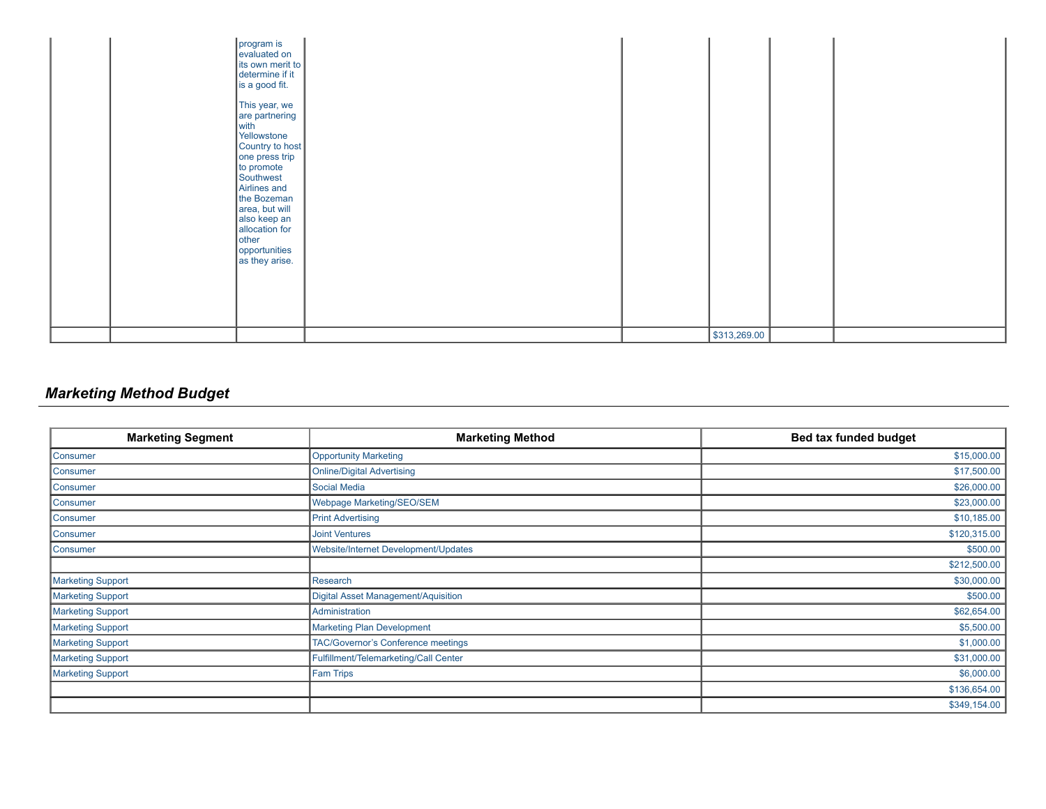| program is<br>evaluated on<br>its own merit to<br>determine if it<br>is a good fit.<br>This year, we<br>are partnering<br>with<br>Yellowstone<br>Country to host<br>one press trip<br>to promote<br>Southwest<br>Airlines and<br>the Bozeman<br>area, but will<br>also keep an<br>allocation for<br><b>other</b><br>opportunities<br>as they arise. |                            |  |
|-----------------------------------------------------------------------------------------------------------------------------------------------------------------------------------------------------------------------------------------------------------------------------------------------------------------------------------------------------|----------------------------|--|
|                                                                                                                                                                                                                                                                                                                                                     | $\frac{1}{2}$ \$313,269.00 |  |

# *Marketing Method Budget*

| <b>Marketing Segment</b> | <b>Marketing Method</b>                    | <b>Bed tax funded budget</b> |
|--------------------------|--------------------------------------------|------------------------------|
| Consumer                 | <b>Opportunity Marketing</b>               | \$15,000.00                  |
| Consumer                 | <b>Online/Digital Advertising</b>          | \$17,500.00                  |
| Consumer                 | <b>Social Media</b>                        | \$26,000.00                  |
| Consumer                 | Webpage Marketing/SEO/SEM                  | \$23,000.00                  |
| Consumer                 | <b>Print Advertising</b>                   | \$10,185.00                  |
| Consumer                 | <b>Joint Ventures</b>                      | \$120,315.00                 |
| Consumer                 | Website/Internet Development/Updates       | \$500.00                     |
|                          |                                            | \$212,500.00                 |
| <b>Marketing Support</b> | Research                                   | \$30,000.00                  |
| Marketing Support        | <b>Digital Asset Management/Aquisition</b> | \$500.00                     |
| Marketing Support        | Administration                             | \$62,654.00                  |
| Marketing Support        | <b>Marketing Plan Development</b>          | \$5,500.00                   |
| Marketing Support        | TAC/Governor's Conference meetings         | \$1,000.00                   |
| Marketing Support        | Fulfillment/Telemarketing/Call Center      | \$31,000.00                  |
| <b>Marketing Support</b> | <b>Fam Trips</b>                           | \$6,000.00                   |
|                          |                                            | \$136,654.00                 |
|                          |                                            | \$349,154.00                 |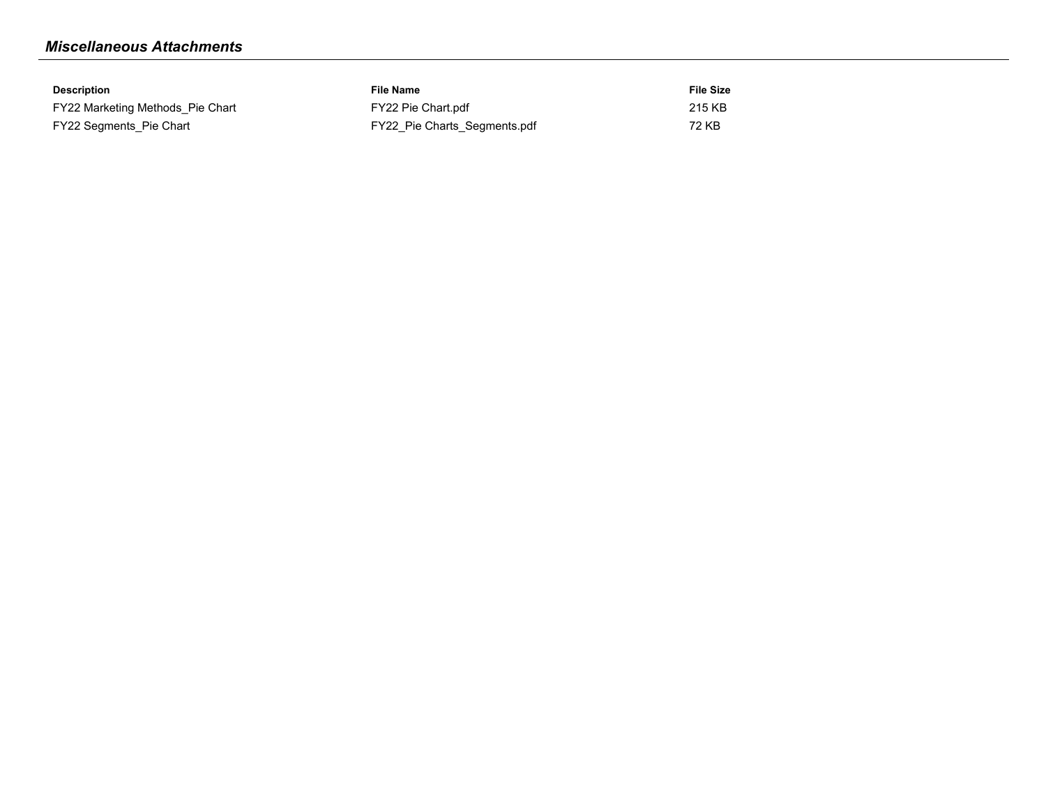# *Miscellaneous Attachments*

| Description                      | File Name                    | <b>File Size</b> |
|----------------------------------|------------------------------|------------------|
| FY22 Marketing Methods Pie Chart | FY22 Pie Chart.pdf           | 215 KB           |
| FY22 Segments Pie Chart          | FY22 Pie Charts Segments.pdf | 72 KB            |